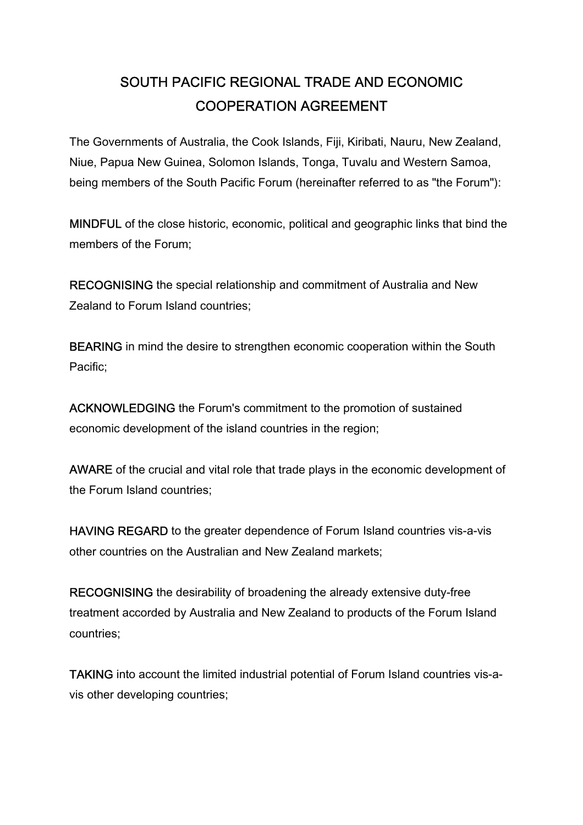# SOUTH PACIFIC REGIONAL TRADE AND ECONOMIC COOPERATION AGREEMENT

The Governments of Australia, the Cook Islands, Fiji, Kiribati, Nauru, New Zealand, Niue, Papua New Guinea, Solomon Islands, Tonga, Tuvalu and Western Samoa, being members of the South Pacific Forum (hereinafter referred to as "the Forum"):

MINDFUL of the close historic, economic, political and geographic links that bind the members of the Forum;

RECOGNISING the special relationship and commitment of Australia and New Zealand to Forum Island countries;

BEARING in mind the desire to strengthen economic cooperation within the South Pacific;

ACKNOWLEDGING the Forum's commitment to the promotion of sustained economic development of the island countries in the region;

AWARE of the crucial and vital role that trade plays in the economic development of the Forum Island countries;

HAVING REGARD to the greater dependence of Forum Island countries vis-a-vis other countries on the Australian and New Zealand markets;

RECOGNISING the desirability of broadening the already extensive duty-free treatment accorded by Australia and New Zealand to products of the Forum Island countries;

TAKING into account the limited industrial potential of Forum Island countries vis-avis other developing countries;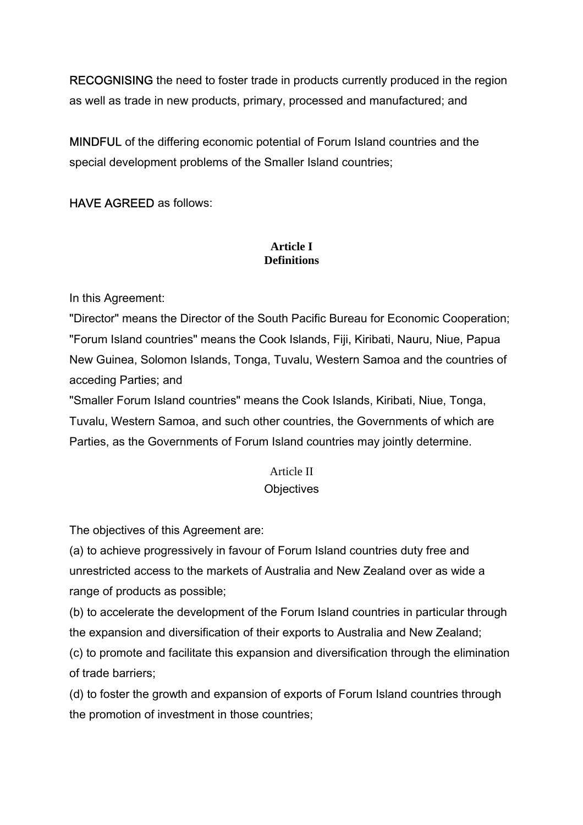RECOGNISING the need to foster trade in products currently produced in the region as well as trade in new products, primary, processed and manufactured; and

MINDFUL of the differing economic potential of Forum Island countries and the special development problems of the Smaller Island countries;

HAVE AGREED as follows:

## **Article I Definitions**

In this Agreement:

"Director" means the Director of the South Pacific Bureau for Economic Cooperation; "Forum Island countries" means the Cook Islands, Fiji, Kiribati, Nauru, Niue, Papua New Guinea, Solomon Islands, Tonga, Tuvalu, Western Samoa and the countries of acceding Parties; and

"Smaller Forum Island countries" means the Cook Islands, Kiribati, Niue, Tonga, Tuvalu, Western Samoa, and such other countries, the Governments of which are Parties, as the Governments of Forum Island countries may jointly determine.

# Article II

## **Objectives**

The objectives of this Agreement are:

(a) to achieve progressively in favour of Forum Island countries duty free and unrestricted access to the markets of Australia and New Zealand over as wide a range of products as possible;

(b) to accelerate the development of the Forum Island countries in particular through the expansion and diversification of their exports to Australia and New Zealand;

(c) to promote and facilitate this expansion and diversification through the elimination of trade barriers;

(d) to foster the growth and expansion of exports of Forum Island countries through the promotion of investment in those countries;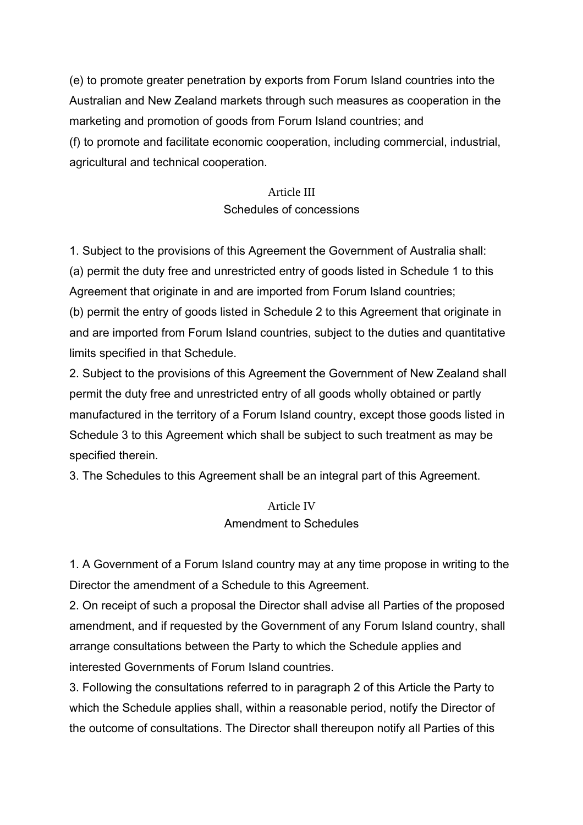(e) to promote greater penetration by exports from Forum Island countries into the Australian and New Zealand markets through such measures as cooperation in the marketing and promotion of goods from Forum Island countries; and (f) to promote and facilitate economic cooperation, including commercial, industrial, agricultural and technical cooperation.

# Article III Schedules of concessions

1. Subject to the provisions of this Agreement the Government of Australia shall: (a) permit the duty free and unrestricted entry of goods listed in Schedule 1 to this Agreement that originate in and are imported from Forum Island countries; (b) permit the entry of goods listed in Schedule 2 to this Agreement that originate in and are imported from Forum Island countries, subject to the duties and quantitative limits specified in that Schedule.

2. Subject to the provisions of this Agreement the Government of New Zealand shall permit the duty free and unrestricted entry of all goods wholly obtained or partly manufactured in the territory of a Forum Island country, except those goods listed in Schedule 3 to this Agreement which shall be subject to such treatment as may be specified therein.

3. The Schedules to this Agreement shall be an integral part of this Agreement.

# Article IV Amendment to Schedules

1. A Government of a Forum Island country may at any time propose in writing to the Director the amendment of a Schedule to this Agreement.

2. On receipt of such a proposal the Director shall advise all Parties of the proposed amendment, and if requested by the Government of any Forum Island country, shall arrange consultations between the Party to which the Schedule applies and interested Governments of Forum Island countries.

3. Following the consultations referred to in paragraph 2 of this Article the Party to which the Schedule applies shall, within a reasonable period, notify the Director of the outcome of consultations. The Director shall thereupon notify all Parties of this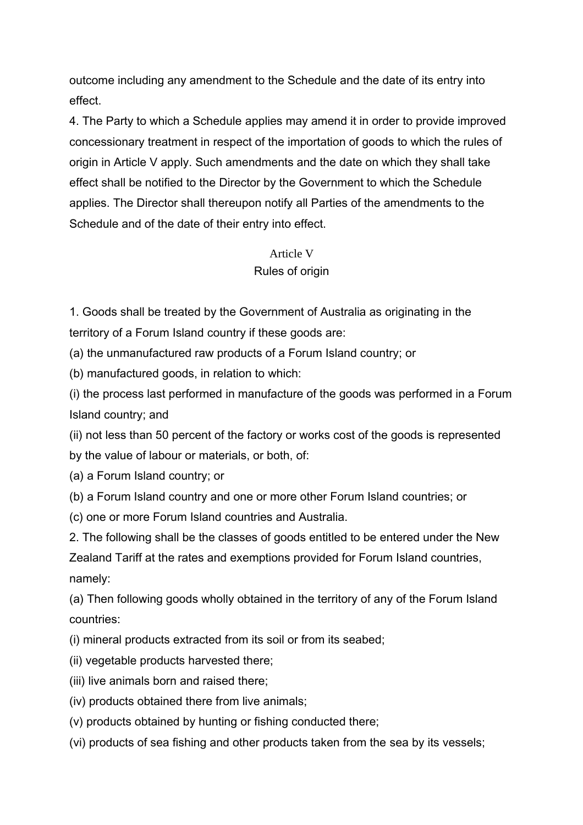outcome including any amendment to the Schedule and the date of its entry into effect.

4. The Party to which a Schedule applies may amend it in order to provide improved concessionary treatment in respect of the importation of goods to which the rules of origin in Article V apply. Such amendments and the date on which they shall take effect shall be notified to the Director by the Government to which the Schedule applies. The Director shall thereupon notify all Parties of the amendments to the Schedule and of the date of their entry into effect.

# Article V Rules of origin

1. Goods shall be treated by the Government of Australia as originating in the territory of a Forum Island country if these goods are:

(a) the unmanufactured raw products of a Forum Island country; or

(b) manufactured goods, in relation to which:

(i) the process last performed in manufacture of the goods was performed in a Forum Island country; and

(ii) not less than 50 percent of the factory or works cost of the goods is represented by the value of labour or materials, or both, of:

(a) a Forum Island country; or

(b) a Forum Island country and one or more other Forum Island countries; or

(c) one or more Forum Island countries and Australia.

2. The following shall be the classes of goods entitled to be entered under the New Zealand Tariff at the rates and exemptions provided for Forum Island countries, namely:

(a) Then following goods wholly obtained in the territory of any of the Forum Island countries:

(i) mineral products extracted from its soil or from its seabed;

- (ii) vegetable products harvested there;
- (iii) live animals born and raised there;
- (iv) products obtained there from live animals;
- (v) products obtained by hunting or fishing conducted there;
- (vi) products of sea fishing and other products taken from the sea by its vessels;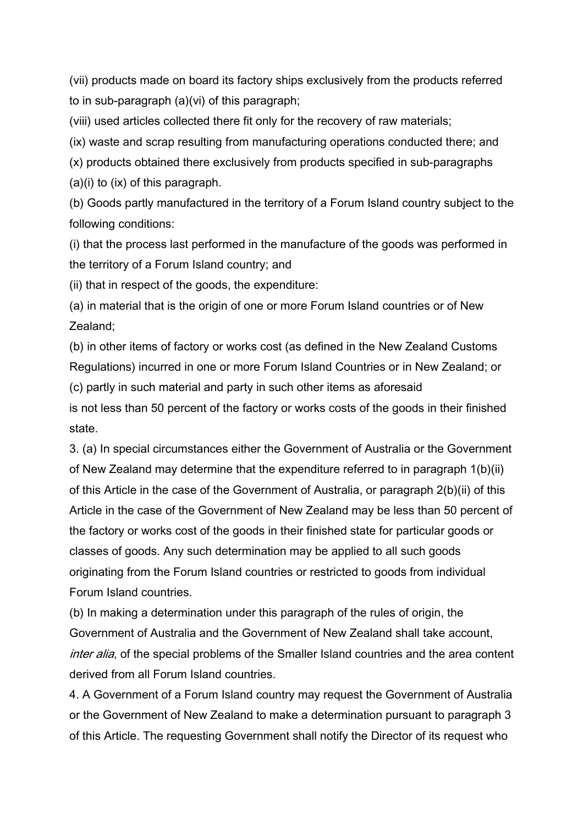(vii) products made on board its factory ships exclusively from the products referred to in sub-paragraph (a)(vi) of this paragraph;

(viii) used articles collected there fit only for the recovery of raw materials;

(ix) waste and scrap resulting from manufacturing operations conducted there; and

(x) products obtained there exclusively from products specified in sub-paragraphs

(a)(i) to (ix) of this paragraph.

(b) Goods partly manufactured in the territory of a Forum Island country subject to the following conditions:

(i) that the process last performed in the manufacture of the goods was performed in the territory of a Forum Island country; and

(ii) that in respect of the goods, the expenditure:

(a) in material that is the origin of one or more Forum Island countries or of New Zealand;

(b) in other items of factory or works cost (as defined in the New Zealand Customs Regulations) incurred in one or more Forum Island Countries or in New Zealand; or

(c) partly in such material and party in such other items as aforesaid

is not less than 50 percent of the factory or works costs of the goods in their finished state.

3. (a) In special circumstances either the Government of Australia or the Government of New Zealand may determine that the expenditure referred to in paragraph 1(b)(ii) of this Article in the case of the Government of Australia, or paragraph 2(b)(ii) of this Article in the case of the Government of New Zealand may be less than 50 percent of the factory or works cost of the goods in their finished state for particular goods or classes of goods. Any such determination may be applied to all such goods originating from the Forum Island countries or restricted to goods from individual Forum Island countries.

(b) In making a determination under this paragraph of the rules of origin, the Government of Australia and the Government of New Zealand shall take account, inter alia, of the special problems of the Smaller Island countries and the area content derived from all Forum Island countries.

4. A Government of a Forum Island country may request the Government of Australia or the Government of New Zealand to make a determination pursuant to paragraph 3 of this Article. The requesting Government shall notify the Director of its request who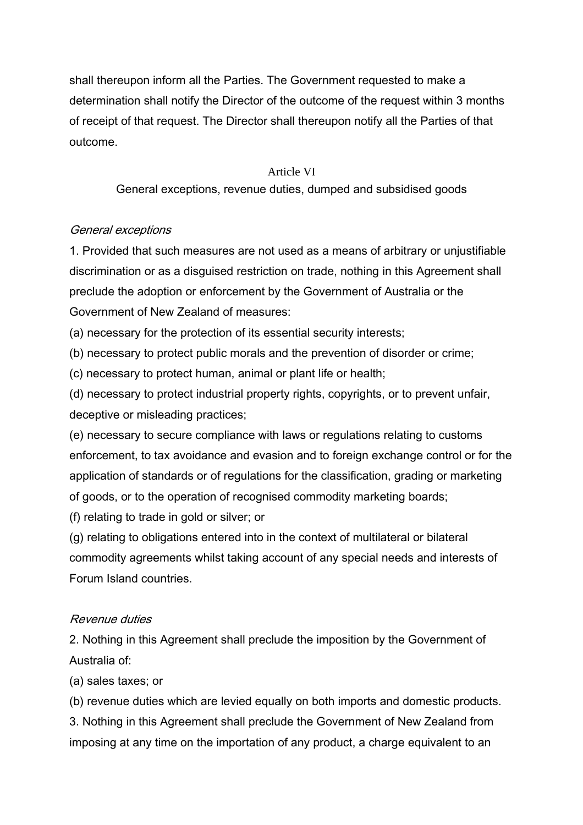shall thereupon inform all the Parties. The Government requested to make a determination shall notify the Director of the outcome of the request within 3 months of receipt of that request. The Director shall thereupon notify all the Parties of that outcome.

#### Article VI

General exceptions, revenue duties, dumped and subsidised goods

## General exceptions

1. Provided that such measures are not used as a means of arbitrary or unjustifiable discrimination or as a disguised restriction on trade, nothing in this Agreement shall preclude the adoption or enforcement by the Government of Australia or the Government of New Zealand of measures:

(a) necessary for the protection of its essential security interests;

(b) necessary to protect public morals and the prevention of disorder or crime;

(c) necessary to protect human, animal or plant life or health;

(d) necessary to protect industrial property rights, copyrights, or to prevent unfair, deceptive or misleading practices;

(e) necessary to secure compliance with laws or regulations relating to customs enforcement, to tax avoidance and evasion and to foreign exchange control or for the application of standards or of regulations for the classification, grading or marketing of goods, or to the operation of recognised commodity marketing boards;

(f) relating to trade in gold or silver; or

(g) relating to obligations entered into in the context of multilateral or bilateral commodity agreements whilst taking account of any special needs and interests of Forum Island countries.

## Revenue duties

2. Nothing in this Agreement shall preclude the imposition by the Government of Australia of:

(a) sales taxes; or

(b) revenue duties which are levied equally on both imports and domestic products.

3. Nothing in this Agreement shall preclude the Government of New Zealand from imposing at any time on the importation of any product, a charge equivalent to an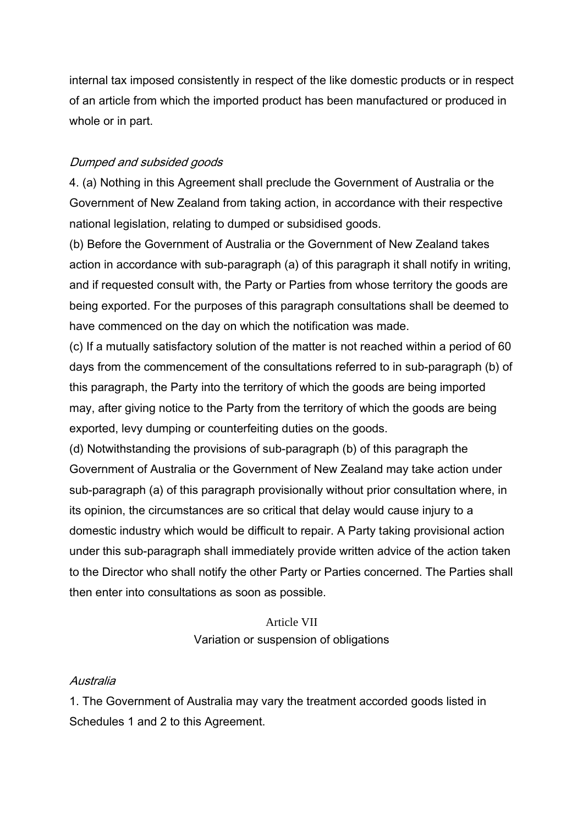internal tax imposed consistently in respect of the like domestic products or in respect of an article from which the imported product has been manufactured or produced in whole or in part.

## Dumped and subsided goods

4. (a) Nothing in this Agreement shall preclude the Government of Australia or the Government of New Zealand from taking action, in accordance with their respective national legislation, relating to dumped or subsidised goods.

(b) Before the Government of Australia or the Government of New Zealand takes action in accordance with sub-paragraph (a) of this paragraph it shall notify in writing, and if requested consult with, the Party or Parties from whose territory the goods are being exported. For the purposes of this paragraph consultations shall be deemed to have commenced on the day on which the notification was made.

(c) If a mutually satisfactory solution of the matter is not reached within a period of 60 days from the commencement of the consultations referred to in sub-paragraph (b) of this paragraph, the Party into the territory of which the goods are being imported may, after giving notice to the Party from the territory of which the goods are being exported, levy dumping or counterfeiting duties on the goods.

(d) Notwithstanding the provisions of sub-paragraph (b) of this paragraph the Government of Australia or the Government of New Zealand may take action under sub-paragraph (a) of this paragraph provisionally without prior consultation where, in its opinion, the circumstances are so critical that delay would cause injury to a domestic industry which would be difficult to repair. A Party taking provisional action under this sub-paragraph shall immediately provide written advice of the action taken to the Director who shall notify the other Party or Parties concerned. The Parties shall then enter into consultations as soon as possible.

# Article VII Variation or suspension of obligations

## Australia

1. The Government of Australia may vary the treatment accorded goods listed in Schedules 1 and 2 to this Agreement.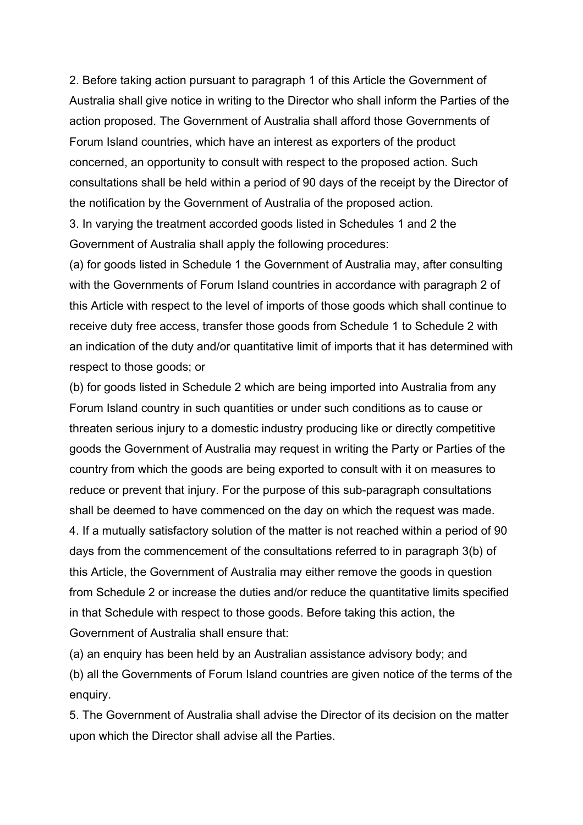2. Before taking action pursuant to paragraph 1 of this Article the Government of Australia shall give notice in writing to the Director who shall inform the Parties of the action proposed. The Government of Australia shall afford those Governments of Forum Island countries, which have an interest as exporters of the product concerned, an opportunity to consult with respect to the proposed action. Such consultations shall be held within a period of 90 days of the receipt by the Director of the notification by the Government of Australia of the proposed action.

3. In varying the treatment accorded goods listed in Schedules 1 and 2 the Government of Australia shall apply the following procedures:

(a) for goods listed in Schedule 1 the Government of Australia may, after consulting with the Governments of Forum Island countries in accordance with paragraph 2 of this Article with respect to the level of imports of those goods which shall continue to receive duty free access, transfer those goods from Schedule 1 to Schedule 2 with an indication of the duty and/or quantitative limit of imports that it has determined with respect to those goods; or

(b) for goods listed in Schedule 2 which are being imported into Australia from any Forum Island country in such quantities or under such conditions as to cause or threaten serious injury to a domestic industry producing like or directly competitive goods the Government of Australia may request in writing the Party or Parties of the country from which the goods are being exported to consult with it on measures to reduce or prevent that injury. For the purpose of this sub-paragraph consultations shall be deemed to have commenced on the day on which the request was made. 4. If a mutually satisfactory solution of the matter is not reached within a period of 90 days from the commencement of the consultations referred to in paragraph 3(b) of this Article, the Government of Australia may either remove the goods in question from Schedule 2 or increase the duties and/or reduce the quantitative limits specified in that Schedule with respect to those goods. Before taking this action, the Government of Australia shall ensure that:

(a) an enquiry has been held by an Australian assistance advisory body; and (b) all the Governments of Forum Island countries are given notice of the terms of the enquiry.

5. The Government of Australia shall advise the Director of its decision on the matter upon which the Director shall advise all the Parties.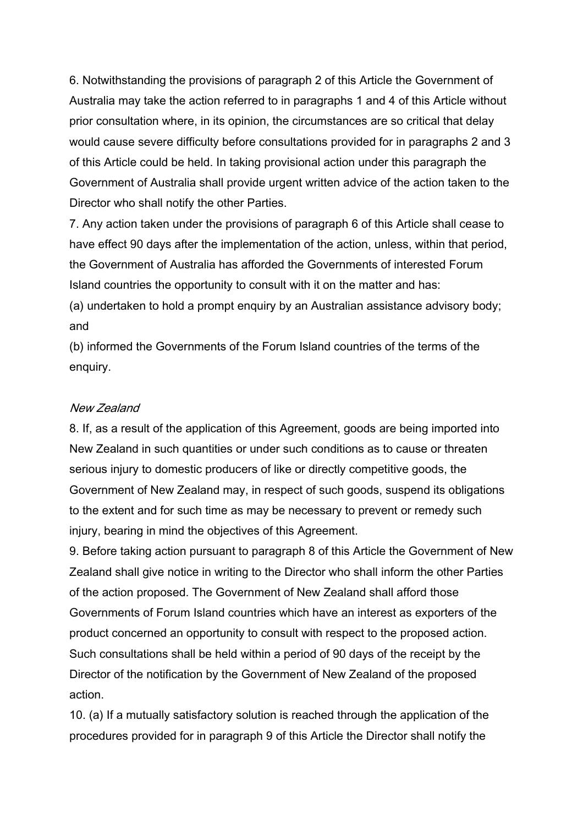6. Notwithstanding the provisions of paragraph 2 of this Article the Government of Australia may take the action referred to in paragraphs 1 and 4 of this Article without prior consultation where, in its opinion, the circumstances are so critical that delay would cause severe difficulty before consultations provided for in paragraphs 2 and 3 of this Article could be held. In taking provisional action under this paragraph the Government of Australia shall provide urgent written advice of the action taken to the Director who shall notify the other Parties.

7. Any action taken under the provisions of paragraph 6 of this Article shall cease to have effect 90 days after the implementation of the action, unless, within that period, the Government of Australia has afforded the Governments of interested Forum Island countries the opportunity to consult with it on the matter and has:

(a) undertaken to hold a prompt enquiry by an Australian assistance advisory body; and

(b) informed the Governments of the Forum Island countries of the terms of the enquiry.

#### New Zealand

8. If, as a result of the application of this Agreement, goods are being imported into New Zealand in such quantities or under such conditions as to cause or threaten serious injury to domestic producers of like or directly competitive goods, the Government of New Zealand may, in respect of such goods, suspend its obligations to the extent and for such time as may be necessary to prevent or remedy such injury, bearing in mind the objectives of this Agreement.

9. Before taking action pursuant to paragraph 8 of this Article the Government of New Zealand shall give notice in writing to the Director who shall inform the other Parties of the action proposed. The Government of New Zealand shall afford those Governments of Forum Island countries which have an interest as exporters of the product concerned an opportunity to consult with respect to the proposed action. Such consultations shall be held within a period of 90 days of the receipt by the Director of the notification by the Government of New Zealand of the proposed action.

10. (a) If a mutually satisfactory solution is reached through the application of the procedures provided for in paragraph 9 of this Article the Director shall notify the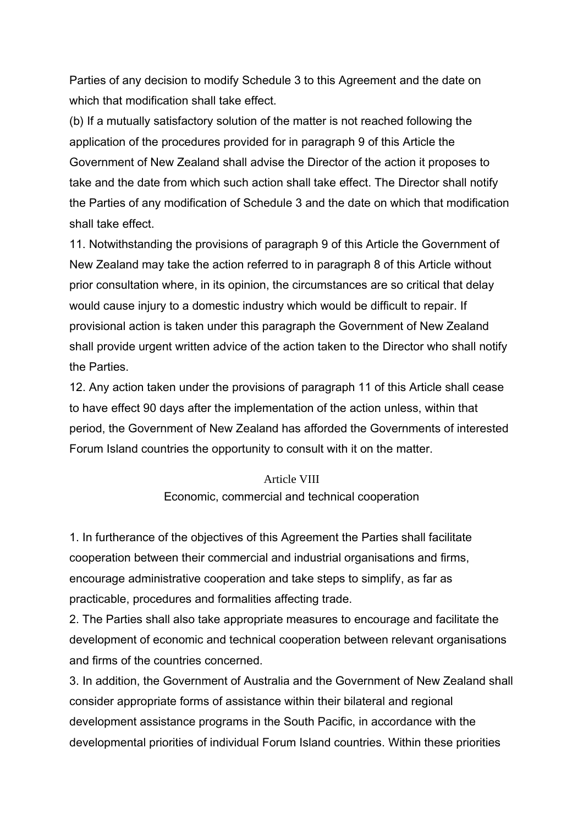Parties of any decision to modify Schedule 3 to this Agreement and the date on which that modification shall take effect.

(b) If a mutually satisfactory solution of the matter is not reached following the application of the procedures provided for in paragraph 9 of this Article the Government of New Zealand shall advise the Director of the action it proposes to take and the date from which such action shall take effect. The Director shall notify the Parties of any modification of Schedule 3 and the date on which that modification shall take effect.

11. Notwithstanding the provisions of paragraph 9 of this Article the Government of New Zealand may take the action referred to in paragraph 8 of this Article without prior consultation where, in its opinion, the circumstances are so critical that delay would cause injury to a domestic industry which would be difficult to repair. If provisional action is taken under this paragraph the Government of New Zealand shall provide urgent written advice of the action taken to the Director who shall notify the Parties.

12. Any action taken under the provisions of paragraph 11 of this Article shall cease to have effect 90 days after the implementation of the action unless, within that period, the Government of New Zealand has afforded the Governments of interested Forum Island countries the opportunity to consult with it on the matter.

#### Article VIII

#### Economic, commercial and technical cooperation

1. In furtherance of the objectives of this Agreement the Parties shall facilitate cooperation between their commercial and industrial organisations and firms, encourage administrative cooperation and take steps to simplify, as far as practicable, procedures and formalities affecting trade.

2. The Parties shall also take appropriate measures to encourage and facilitate the development of economic and technical cooperation between relevant organisations and firms of the countries concerned.

3. In addition, the Government of Australia and the Government of New Zealand shall consider appropriate forms of assistance within their bilateral and regional development assistance programs in the South Pacific, in accordance with the developmental priorities of individual Forum Island countries. Within these priorities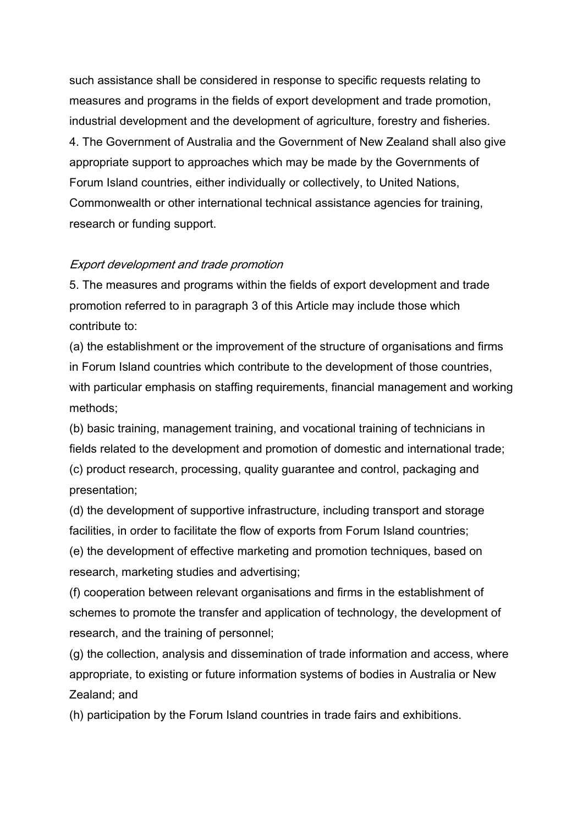such assistance shall be considered in response to specific requests relating to measures and programs in the fields of export development and trade promotion, industrial development and the development of agriculture, forestry and fisheries. 4. The Government of Australia and the Government of New Zealand shall also give appropriate support to approaches which may be made by the Governments of Forum Island countries, either individually or collectively, to United Nations, Commonwealth or other international technical assistance agencies for training, research or funding support.

#### Export development and trade promotion

5. The measures and programs within the fields of export development and trade promotion referred to in paragraph 3 of this Article may include those which contribute to:

(a) the establishment or the improvement of the structure of organisations and firms in Forum Island countries which contribute to the development of those countries, with particular emphasis on staffing requirements, financial management and working methods;

(b) basic training, management training, and vocational training of technicians in fields related to the development and promotion of domestic and international trade; (c) product research, processing, quality guarantee and control, packaging and presentation;

(d) the development of supportive infrastructure, including transport and storage facilities, in order to facilitate the flow of exports from Forum Island countries; (e) the development of effective marketing and promotion techniques, based on research, marketing studies and advertising;

(f) cooperation between relevant organisations and firms in the establishment of schemes to promote the transfer and application of technology, the development of research, and the training of personnel;

(g) the collection, analysis and dissemination of trade information and access, where appropriate, to existing or future information systems of bodies in Australia or New Zealand; and

(h) participation by the Forum Island countries in trade fairs and exhibitions.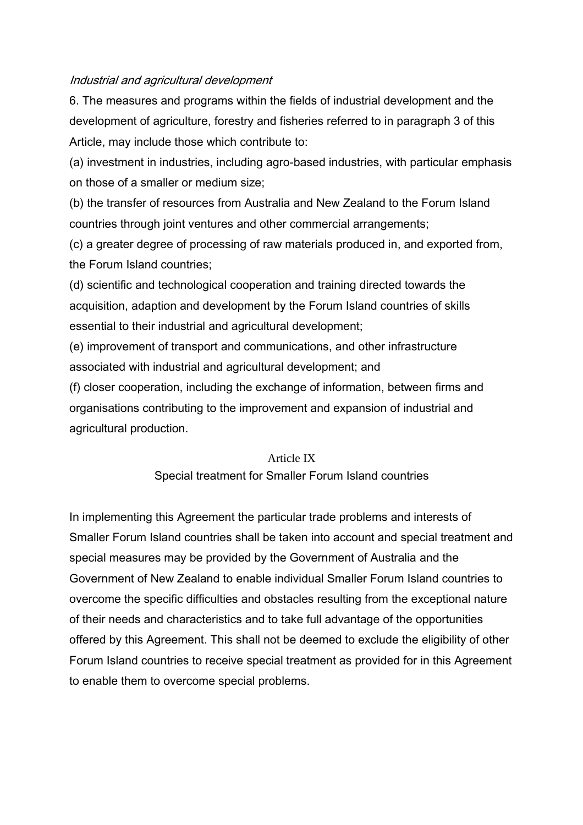#### Industrial and agricultural development

6. The measures and programs within the fields of industrial development and the development of agriculture, forestry and fisheries referred to in paragraph 3 of this Article, may include those which contribute to:

(a) investment in industries, including agro-based industries, with particular emphasis on those of a smaller or medium size;

(b) the transfer of resources from Australia and New Zealand to the Forum Island countries through joint ventures and other commercial arrangements;

(c) a greater degree of processing of raw materials produced in, and exported from, the Forum Island countries;

(d) scientific and technological cooperation and training directed towards the acquisition, adaption and development by the Forum Island countries of skills essential to their industrial and agricultural development;

(e) improvement of transport and communications, and other infrastructure associated with industrial and agricultural development; and

(f) closer cooperation, including the exchange of information, between firms and organisations contributing to the improvement and expansion of industrial and agricultural production.

#### Article IX

#### Special treatment for Smaller Forum Island countries

In implementing this Agreement the particular trade problems and interests of Smaller Forum Island countries shall be taken into account and special treatment and special measures may be provided by the Government of Australia and the Government of New Zealand to enable individual Smaller Forum Island countries to overcome the specific difficulties and obstacles resulting from the exceptional nature of their needs and characteristics and to take full advantage of the opportunities offered by this Agreement. This shall not be deemed to exclude the eligibility of other Forum Island countries to receive special treatment as provided for in this Agreement to enable them to overcome special problems.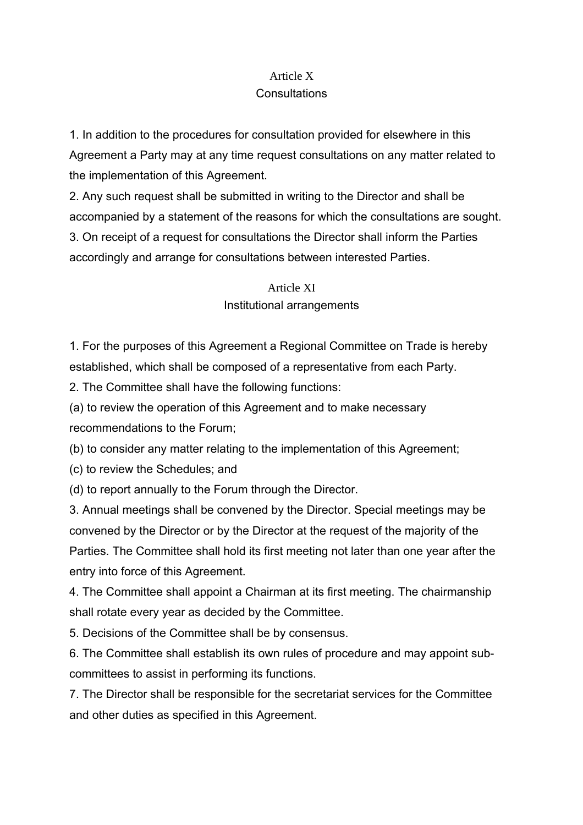# Article X

# **Consultations**

1. In addition to the procedures for consultation provided for elsewhere in this Agreement a Party may at any time request consultations on any matter related to the implementation of this Agreement.

2. Any such request shall be submitted in writing to the Director and shall be accompanied by a statement of the reasons for which the consultations are sought. 3. On receipt of a request for consultations the Director shall inform the Parties accordingly and arrange for consultations between interested Parties.

> Article XI Institutional arrangements

1. For the purposes of this Agreement a Regional Committee on Trade is hereby established, which shall be composed of a representative from each Party.

2. The Committee shall have the following functions:

(a) to review the operation of this Agreement and to make necessary

recommendations to the Forum;

(b) to consider any matter relating to the implementation of this Agreement;

(c) to review the Schedules; and

(d) to report annually to the Forum through the Director.

3. Annual meetings shall be convened by the Director. Special meetings may be convened by the Director or by the Director at the request of the majority of the Parties. The Committee shall hold its first meeting not later than one year after the entry into force of this Agreement.

4. The Committee shall appoint a Chairman at its first meeting. The chairmanship shall rotate every year as decided by the Committee.

5. Decisions of the Committee shall be by consensus.

6. The Committee shall establish its own rules of procedure and may appoint subcommittees to assist in performing its functions.

7. The Director shall be responsible for the secretariat services for the Committee and other duties as specified in this Agreement.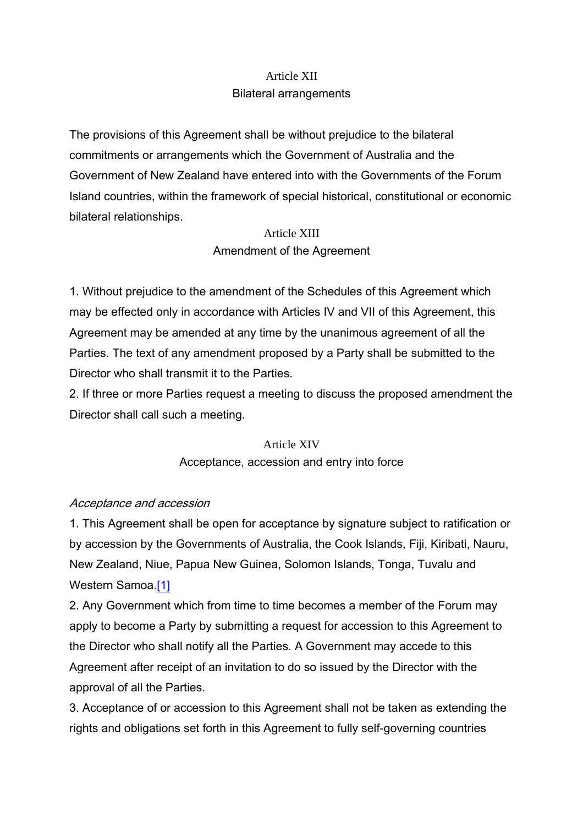# Article XII Bilateral arrangements

The provisions of this Agreement shall be without prejudice to the bilateral commitments or arrangements which the Government of Australia and the Government of New Zealand have entered into with the Governments of the Forum Island countries, within the framework of special historical, constitutional or economic bilateral relationships.

# Article XIII Amendment of the Agreement

1. Without prejudice to the amendment of the Schedules of this Agreement which may be effected only in accordance with Articles IV and VII of this Agreement, this Agreement may be amended at any time by the unanimous agreement of all the Parties. The text of any amendment proposed by a Party shall be submitted to the Director who shall transmit it to the Parties.

2. If three or more Parties request a meeting to discuss the proposed amendment the Director shall call such a meeting.

> Article XIV Acceptance, accession and entry into force

## Acceptance and accession

1. This Agreement shall be open for acceptance by signature subject to ratification or by accession by the Governments of Australia, the Cook Islands, Fiji, Kiribati, Nauru, New Zealand, Niue, Papua New Guinea, Solomon Islands, Tonga, Tuvalu and Western Samoa [1]

2. Any Government which from time to time becomes a member of the Forum may apply to become a Party by submitting a request for accession to this Agreement to the Director who shall notify all the Parties. A Government may accede to this Agreement after receipt of an invitation to do so issued by the Director with the approval of all the Parties.

3. Acceptance of or accession to this Agreement shall not be taken as extending the rights and obligations set forth in this Agreement to fully self-governing countries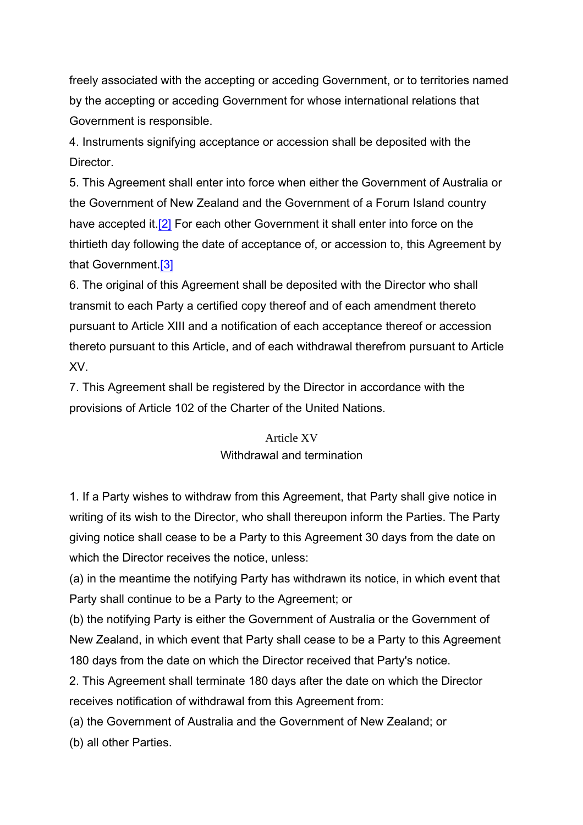freely associated with the accepting or acceding Government, or to territories named by the accepting or acceding Government for whose international relations that Government is responsible.

4. Instruments signifying acceptance or accession shall be deposited with the **Director** 

5. This Agreement shall enter into force when either the Government of Australia or the Government of New Zealand and the Government of a Forum Island country have accepted it.<sup>[2]</sup> For each other Government it shall enter into force on the thirtieth day following the date of acceptance of, or accession to, this Agreement by that Government.[3]

6. The original of this Agreement shall be deposited with the Director who shall transmit to each Party a certified copy thereof and of each amendment thereto pursuant to Article XIII and a notification of each acceptance thereof or accession thereto pursuant to this Article, and of each withdrawal therefrom pursuant to Article XV.

7. This Agreement shall be registered by the Director in accordance with the provisions of Article 102 of the Charter of the United Nations.

# Article XV Withdrawal and termination

1. If a Party wishes to withdraw from this Agreement, that Party shall give notice in writing of its wish to the Director, who shall thereupon inform the Parties. The Party giving notice shall cease to be a Party to this Agreement 30 days from the date on which the Director receives the notice, unless:

(a) in the meantime the notifying Party has withdrawn its notice, in which event that Party shall continue to be a Party to the Agreement; or

(b) the notifying Party is either the Government of Australia or the Government of New Zealand, in which event that Party shall cease to be a Party to this Agreement 180 days from the date on which the Director received that Party's notice.

2. This Agreement shall terminate 180 days after the date on which the Director receives notification of withdrawal from this Agreement from:

(a) the Government of Australia and the Government of New Zealand; or

(b) all other Parties.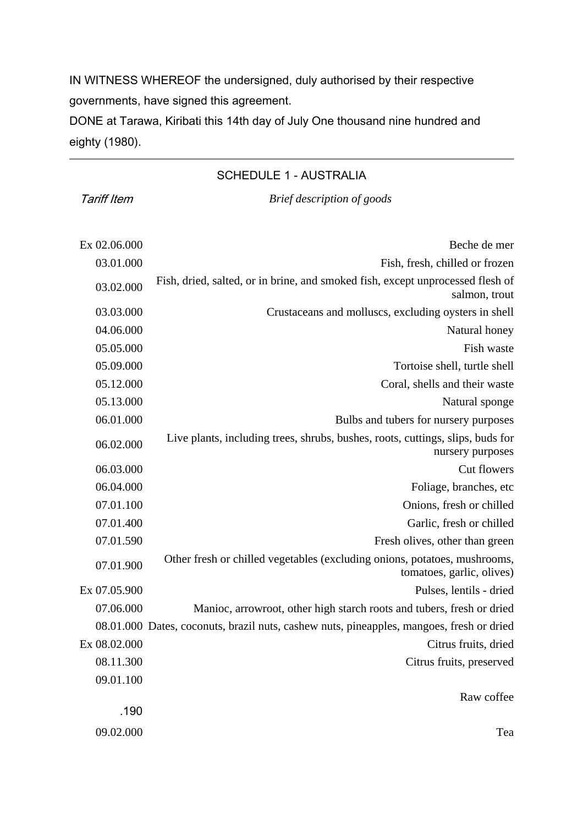IN WITNESS WHEREOF the undersigned, duly authorised by their respective governments, have signed this agreement.

DONE at Tarawa, Kiribati this 14th day of July One thousand nine hundred and eighty (1980).

#### SCHEDULE 1 - AUSTRALIA

Tariff Item *Brief description of goods*

| Beche de mer                                                                                           | Ex 02.06.000 |
|--------------------------------------------------------------------------------------------------------|--------------|
| Fish, fresh, chilled or frozen                                                                         | 03.01.000    |
| Fish, dried, salted, or in brine, and smoked fish, except unprocessed flesh of<br>salmon, trout        | 03.02.000    |
| Crustaceans and molluscs, excluding oysters in shell                                                   | 03.03.000    |
| Natural honey                                                                                          | 04.06.000    |
| Fish waste                                                                                             | 05.05.000    |
| Tortoise shell, turtle shell                                                                           | 05.09.000    |
| Coral, shells and their waste                                                                          | 05.12.000    |
| Natural sponge                                                                                         | 05.13.000    |
| Bulbs and tubers for nursery purposes                                                                  | 06.01.000    |
| Live plants, including trees, shrubs, bushes, roots, cuttings, slips, buds for<br>nursery purposes     | 06.02.000    |
| Cut flowers                                                                                            | 06.03.000    |
| Foliage, branches, etc                                                                                 | 06.04.000    |
| Onions, fresh or chilled                                                                               | 07.01.100    |
| Garlic, fresh or chilled                                                                               | 07.01.400    |
| Fresh olives, other than green                                                                         | 07.01.590    |
| Other fresh or chilled vegetables (excluding onions, potatoes, mushrooms,<br>tomatoes, garlic, olives) | 07.01.900    |
| Pulses, lentils - dried                                                                                | Ex 07.05.900 |
| Manioc, arrowroot, other high starch roots and tubers, fresh or dried                                  | 07.06.000    |
| 08.01.000 Dates, coconuts, brazil nuts, cashew nuts, pineapples, mangoes, fresh or dried               |              |
| Citrus fruits, dried                                                                                   | Ex 08.02.000 |
| Citrus fruits, preserved                                                                               | 08.11.300    |
|                                                                                                        | 09.01.100    |
| Raw coffee                                                                                             |              |
|                                                                                                        | .190         |
| Tea                                                                                                    | 09.02.000    |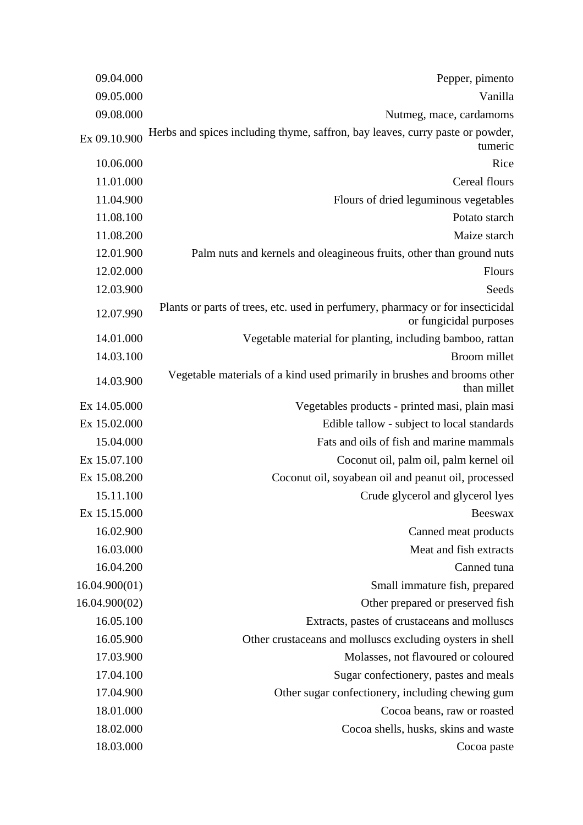| 09.04.000     | Pepper, pimento                                                                                          |  |
|---------------|----------------------------------------------------------------------------------------------------------|--|
| 09.05.000     | Vanilla                                                                                                  |  |
| 09.08.000     | Nutmeg, mace, cardamoms                                                                                  |  |
| Ex 09.10.900  | Herbs and spices including thyme, saffron, bay leaves, curry paste or powder,<br>tumeric                 |  |
| 10.06.000     | Rice                                                                                                     |  |
| 11.01.000     | Cereal flours                                                                                            |  |
| 11.04.900     | Flours of dried leguminous vegetables                                                                    |  |
| 11.08.100     | Potato starch                                                                                            |  |
| 11.08.200     | Maize starch                                                                                             |  |
| 12.01.900     | Palm nuts and kernels and oleagineous fruits, other than ground nuts                                     |  |
| 12.02.000     | Flours                                                                                                   |  |
| 12.03.900     | Seeds                                                                                                    |  |
| 12.07.990     | Plants or parts of trees, etc. used in perfumery, pharmacy or for insecticidal<br>or fungicidal purposes |  |
| 14.01.000     | Vegetable material for planting, including bamboo, rattan                                                |  |
| 14.03.100     | Broom millet                                                                                             |  |
| 14.03.900     | Vegetable materials of a kind used primarily in brushes and brooms other<br>than millet                  |  |
| Ex 14.05.000  | Vegetables products - printed masi, plain masi                                                           |  |
| Ex 15.02.000  | Edible tallow - subject to local standards                                                               |  |
| 15.04.000     | Fats and oils of fish and marine mammals                                                                 |  |
| Ex 15.07.100  | Coconut oil, palm oil, palm kernel oil                                                                   |  |
| Ex 15.08.200  | Coconut oil, soyabean oil and peanut oil, processed                                                      |  |
| 15.11.100     | Crude glycerol and glycerol lyes                                                                         |  |
| Ex 15.15.000  | <b>Beeswax</b>                                                                                           |  |
| 16.02.900     | Canned meat products                                                                                     |  |
| 16.03.000     | Meat and fish extracts                                                                                   |  |
| 16.04.200     | Canned tuna                                                                                              |  |
| 16.04.900(01) | Small immature fish, prepared                                                                            |  |
| 16.04.900(02) | Other prepared or preserved fish                                                                         |  |
| 16.05.100     | Extracts, pastes of crustaceans and molluscs                                                             |  |
| 16.05.900     | Other crustaceans and molluscs excluding oysters in shell                                                |  |
| 17.03.900     | Molasses, not flavoured or coloured                                                                      |  |
| 17.04.100     | Sugar confectionery, pastes and meals                                                                    |  |
| 17.04.900     | Other sugar confectionery, including chewing gum                                                         |  |
| 18.01.000     | Cocoa beans, raw or roasted                                                                              |  |
| 18.02.000     | Cocoa shells, husks, skins and waste                                                                     |  |
| 18.03.000     | Cocoa paste                                                                                              |  |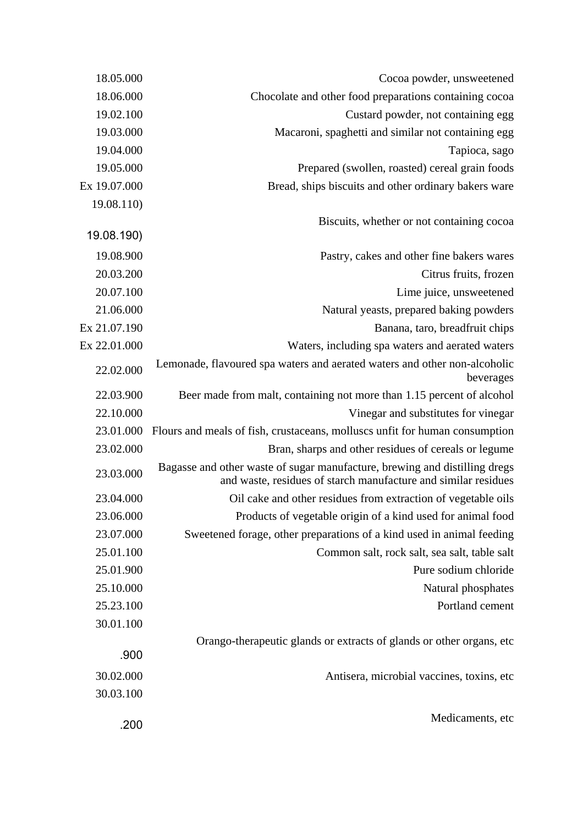| Cocoa powder, unsweetened                                                                                                                    | 18.05.000    |
|----------------------------------------------------------------------------------------------------------------------------------------------|--------------|
| Chocolate and other food preparations containing cocoa                                                                                       | 18.06.000    |
| Custard powder, not containing egg                                                                                                           | 19.02.100    |
| Macaroni, spaghetti and similar not containing egg                                                                                           | 19.03.000    |
| Tapioca, sago                                                                                                                                | 19.04.000    |
| Prepared (swollen, roasted) cereal grain foods                                                                                               | 19.05.000    |
| Bread, ships biscuits and other ordinary bakers ware                                                                                         | Ex 19.07.000 |
|                                                                                                                                              | 19.08.110)   |
| Biscuits, whether or not containing cocoa                                                                                                    | 19.08.190)   |
| Pastry, cakes and other fine bakers wares                                                                                                    | 19.08.900    |
| Citrus fruits, frozen                                                                                                                        | 20.03.200    |
| Lime juice, unsweetened                                                                                                                      | 20.07.100    |
| Natural yeasts, prepared baking powders                                                                                                      | 21.06.000    |
| Banana, taro, breadfruit chips                                                                                                               | Ex 21.07.190 |
| Waters, including spa waters and aerated waters                                                                                              | Ex 22.01.000 |
| Lemonade, flavoured spa waters and aerated waters and other non-alcoholic<br>beverages                                                       | 22.02.000    |
| Beer made from malt, containing not more than 1.15 percent of alcohol                                                                        | 22.03.900    |
| Vinegar and substitutes for vinegar                                                                                                          | 22.10.000    |
| Flours and meals of fish, crustaceans, molluscs unfit for human consumption                                                                  | 23.01.000    |
| Bran, sharps and other residues of cereals or legume                                                                                         | 23.02.000    |
| Bagasse and other waste of sugar manufacture, brewing and distilling dregs<br>and waste, residues of starch manufacture and similar residues | 23.03.000    |
| Oil cake and other residues from extraction of vegetable oils                                                                                | 23.04.000    |
| Products of vegetable origin of a kind used for animal food                                                                                  | 23.06.000    |
| Sweetened forage, other preparations of a kind used in animal feeding                                                                        | 23.07.000    |
| Common salt, rock salt, sea salt, table salt                                                                                                 | 25.01.100    |
| Pure sodium chloride                                                                                                                         | 25.01.900    |
| Natural phosphates                                                                                                                           | 25.10.000    |
| Portland cement                                                                                                                              | 25.23.100    |
|                                                                                                                                              | 30.01.100    |
| Orango-therapeutic glands or extracts of glands or other organs, etc.                                                                        | .900         |
| Antisera, microbial vaccines, toxins, etc.                                                                                                   | 30.02.000    |
|                                                                                                                                              | 30.03.100    |
| Medicaments, etc                                                                                                                             | .200         |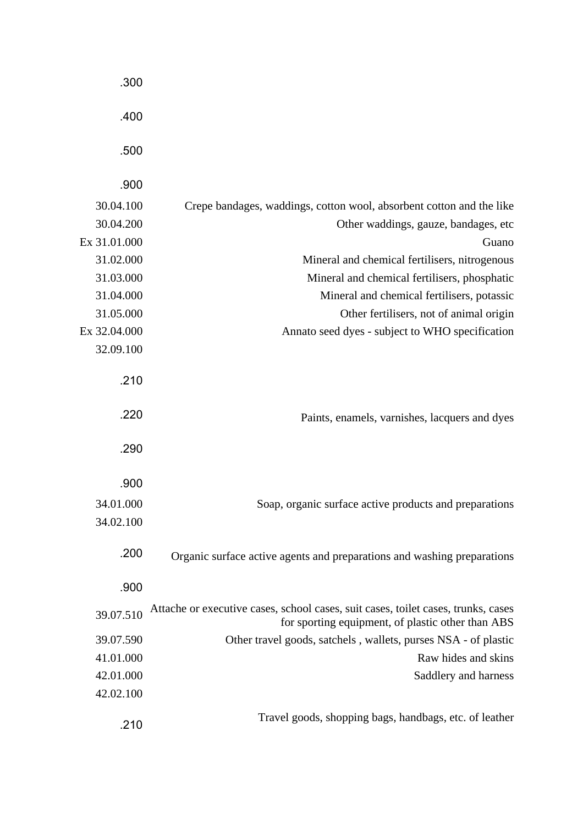|                                                                                                                                        | .300         |
|----------------------------------------------------------------------------------------------------------------------------------------|--------------|
|                                                                                                                                        | .400         |
|                                                                                                                                        | .500         |
|                                                                                                                                        | .900         |
| Crepe bandages, waddings, cotton wool, absorbent cotton and the like                                                                   | 30.04.100    |
| Other waddings, gauze, bandages, etc                                                                                                   | 30.04.200    |
| Guano                                                                                                                                  | Ex 31.01.000 |
| Mineral and chemical fertilisers, nitrogenous                                                                                          | 31.02.000    |
| Mineral and chemical fertilisers, phosphatic                                                                                           | 31.03.000    |
| Mineral and chemical fertilisers, potassic                                                                                             | 31.04.000    |
| Other fertilisers, not of animal origin                                                                                                | 31.05.000    |
| Annato seed dyes - subject to WHO specification                                                                                        | Ex 32.04.000 |
|                                                                                                                                        | 32.09.100    |
|                                                                                                                                        | .210         |
| Paints, enamels, varnishes, lacquers and dyes                                                                                          | .220         |
|                                                                                                                                        | .290         |
|                                                                                                                                        | .900         |
| Soap, organic surface active products and preparations                                                                                 | 34.01.000    |
|                                                                                                                                        | 34.02.100    |
| Organic surface active agents and preparations and washing preparations                                                                | .200         |
|                                                                                                                                        | .900         |
| Attache or executive cases, school cases, suit cases, toilet cases, trunks, cases<br>for sporting equipment, of plastic other than ABS | 39.07.510    |
| Other travel goods, satchels, wallets, purses NSA - of plastic                                                                         | 39.07.590    |
| Raw hides and skins                                                                                                                    | 41.01.000    |
| Saddlery and harness                                                                                                                   | 42.01.000    |
|                                                                                                                                        | 42.02.100    |
| Travel goods, shopping bags, handbags, etc. of leather                                                                                 | .210         |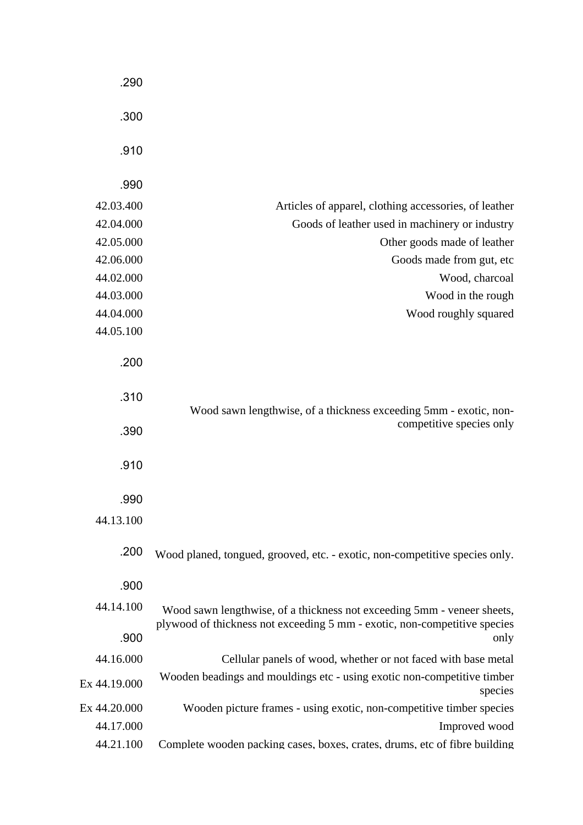|                                                                                                                                                      | .290         |
|------------------------------------------------------------------------------------------------------------------------------------------------------|--------------|
|                                                                                                                                                      | .300         |
|                                                                                                                                                      | .910         |
|                                                                                                                                                      | .990         |
| Articles of apparel, clothing accessories, of leather                                                                                                | 42.03.400    |
| Goods of leather used in machinery or industry                                                                                                       | 42.04.000    |
| Other goods made of leather                                                                                                                          | 42.05.000    |
| Goods made from gut, etc                                                                                                                             | 42.06.000    |
| Wood, charcoal                                                                                                                                       | 44.02.000    |
| Wood in the rough                                                                                                                                    | 44.03.000    |
| Wood roughly squared                                                                                                                                 | 44.04.000    |
|                                                                                                                                                      | 44.05.100    |
|                                                                                                                                                      | .200         |
| Wood sawn lengthwise, of a thickness exceeding 5mm - exotic, non-                                                                                    | .310         |
| competitive species only                                                                                                                             | .390         |
|                                                                                                                                                      | .910         |
|                                                                                                                                                      | .990         |
|                                                                                                                                                      |              |
|                                                                                                                                                      | 44.13.100    |
| Wood planed, tongued, grooved, etc. - exotic, non-competitive species only.                                                                          | .200         |
|                                                                                                                                                      | .900         |
| Wood sawn lengthwise, of a thickness not exceeding 5mm - veneer sheets,<br>plywood of thickness not exceeding 5 mm - exotic, non-competitive species | 44.14.100    |
| only                                                                                                                                                 | .900         |
| Cellular panels of wood, whether or not faced with base metal                                                                                        | 44.16.000    |
| Wooden beadings and mouldings etc - using exotic non-competitive timber<br>species                                                                   | Ex 44.19.000 |
| Wooden picture frames - using exotic, non-competitive timber species                                                                                 | Ex 44.20.000 |
| Improved wood                                                                                                                                        | 44.17.000    |
| Complete wooden packing cases, boxes, crates, drums, etc of fibre building                                                                           | 44.21.100    |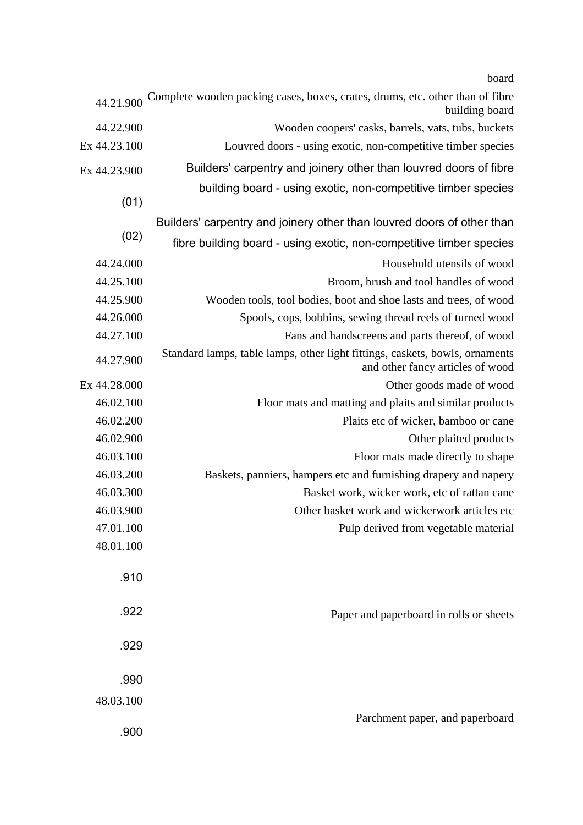board

| 44.21.900    | Complete wooden packing cases, boxes, crates, drums, etc. other than of fibre<br>building board                  |  |
|--------------|------------------------------------------------------------------------------------------------------------------|--|
| 44.22.900    | Wooden coopers' casks, barrels, vats, tubs, buckets                                                              |  |
| Ex 44.23.100 | Louvred doors - using exotic, non-competitive timber species                                                     |  |
| Ex 44.23.900 | Builders' carpentry and joinery other than louvred doors of fibre                                                |  |
| (01)         | building board - using exotic, non-competitive timber species                                                    |  |
|              | Builders' carpentry and joinery other than louvred doors of other than                                           |  |
| (02)         | fibre building board - using exotic, non-competitive timber species                                              |  |
| 44.24.000    | Household utensils of wood                                                                                       |  |
| 44.25.100    | Broom, brush and tool handles of wood                                                                            |  |
| 44.25.900    | Wooden tools, tool bodies, boot and shoe lasts and trees, of wood                                                |  |
| 44.26.000    | Spools, cops, bobbins, sewing thread reels of turned wood                                                        |  |
| 44.27.100    | Fans and handscreens and parts thereof, of wood                                                                  |  |
| 44.27.900    | Standard lamps, table lamps, other light fittings, caskets, bowls, ornaments<br>and other fancy articles of wood |  |
| Ex 44.28.000 | Other goods made of wood                                                                                         |  |
| 46.02.100    | Floor mats and matting and plaits and similar products                                                           |  |
| 46.02.200    | Plaits etc of wicker, bamboo or cane                                                                             |  |
| 46.02.900    | Other plaited products                                                                                           |  |
| 46.03.100    | Floor mats made directly to shape                                                                                |  |
| 46.03.200    | Baskets, panniers, hampers etc and furnishing drapery and napery                                                 |  |
| 46.03.300    | Basket work, wicker work, etc of rattan cane                                                                     |  |
| 46.03.900    | Other basket work and wickerwork articles etc                                                                    |  |
| 47.01.100    | Pulp derived from vegetable material                                                                             |  |
| 48.01.100    |                                                                                                                  |  |
| .910         |                                                                                                                  |  |
| .922         | Paper and paperboard in rolls or sheets                                                                          |  |
| .929         |                                                                                                                  |  |
| .990         |                                                                                                                  |  |
| 48.03.100    |                                                                                                                  |  |
| .900         | Parchment paper, and paperboard                                                                                  |  |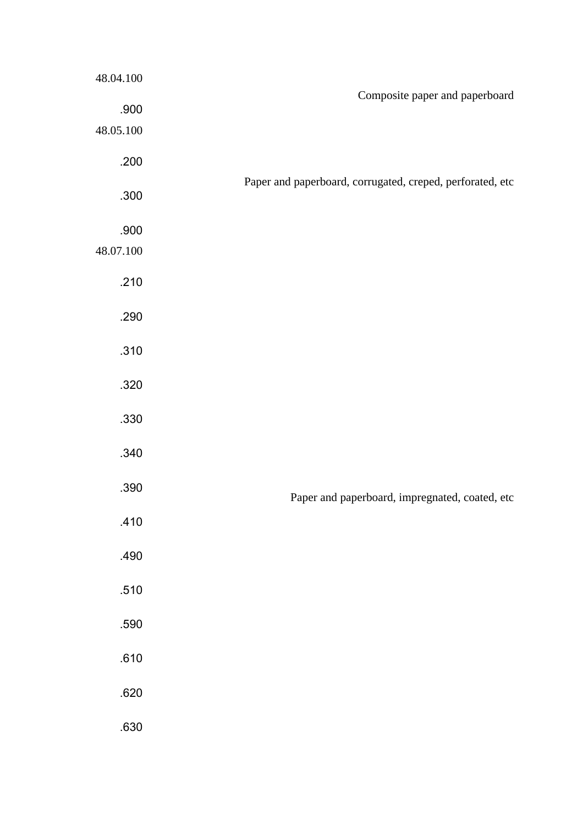|                                                           | 48.04.100         |
|-----------------------------------------------------------|-------------------|
| Composite paper and paperboard                            | .900<br>48.05.100 |
|                                                           | .200              |
| Paper and paperboard, corrugated, creped, perforated, etc | .300              |
|                                                           | .900<br>48.07.100 |
|                                                           | .210              |
|                                                           | .290              |
|                                                           | .310              |
|                                                           | .320              |
|                                                           | .330              |
|                                                           | .340              |
| Paper and paperboard, impregnated, coated, etc            | .390              |
|                                                           | .410              |
|                                                           | .490              |
|                                                           | .510              |
|                                                           | .590              |
|                                                           | .610              |
|                                                           | .620              |
|                                                           | .630              |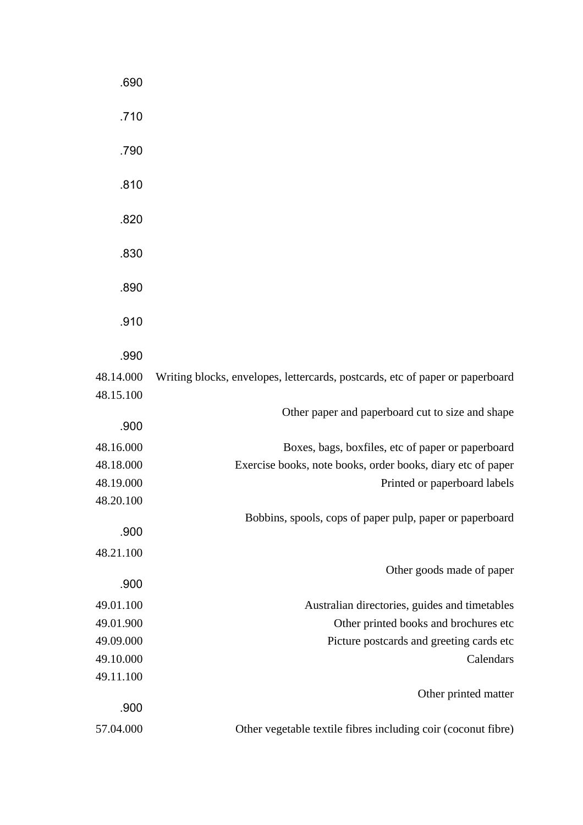|                                                                               | .690      |
|-------------------------------------------------------------------------------|-----------|
|                                                                               | .710      |
|                                                                               | .790      |
|                                                                               | .810      |
|                                                                               | .820      |
|                                                                               | .830      |
|                                                                               | .890      |
|                                                                               | .910      |
|                                                                               | .990      |
| Writing blocks, envelopes, lettercards, postcards, etc of paper or paperboard | 48.14.000 |
|                                                                               | 48.15.100 |
| Other paper and paperboard cut to size and shape                              |           |
|                                                                               | .900      |
| Boxes, bags, boxfiles, etc of paper or paperboard                             | 48.16.000 |
| Exercise books, note books, order books, diary etc of paper                   | 48.18.000 |
| Printed or paperboard labels                                                  | 48.19.000 |
|                                                                               | 48.20.100 |
| Bobbins, spools, cops of paper pulp, paper or paperboard                      |           |
|                                                                               | .900      |
|                                                                               | 48.21.100 |
| Other goods made of paper                                                     | .900      |
|                                                                               |           |
| Australian directories, guides and timetables                                 | 49.01.100 |
| Other printed books and brochures etc                                         | 49.01.900 |
| Picture postcards and greeting cards etc                                      | 49.09.000 |
| Calendars                                                                     | 49.10.000 |
|                                                                               | 49.11.100 |
| Other printed matter                                                          | .900      |
| Other vegetable textile fibres including coir (coconut fibre)                 | 57.04.000 |
|                                                                               |           |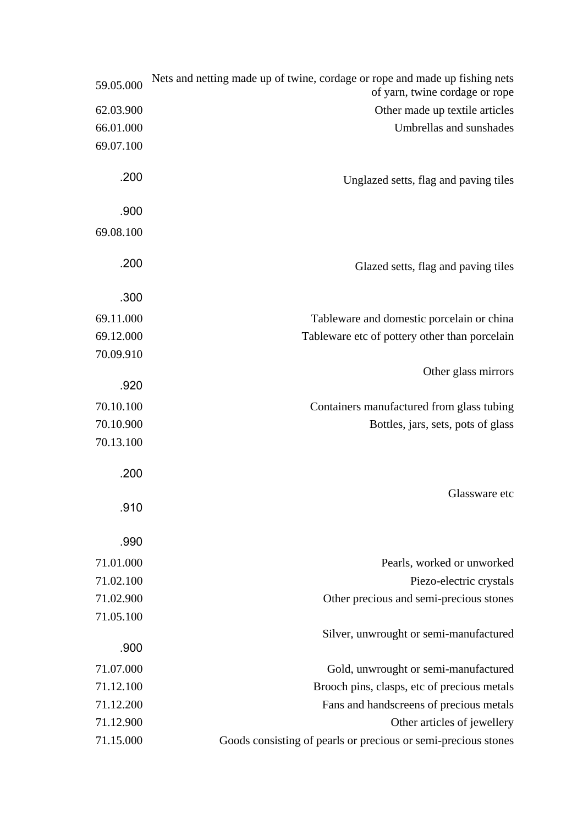| Nets and netting made up of twine, cordage or rope and made up fishing nets<br>of yarn, twine cordage or rope | 59.05.000 |
|---------------------------------------------------------------------------------------------------------------|-----------|
| Other made up textile articles                                                                                | 62.03.900 |
| Umbrellas and sunshades                                                                                       | 66.01.000 |
|                                                                                                               | 69.07.100 |
|                                                                                                               |           |
| Unglazed setts, flag and paving tiles                                                                         | .200      |
|                                                                                                               | .900      |
|                                                                                                               | 69.08.100 |
|                                                                                                               |           |
| Glazed setts, flag and paving tiles                                                                           | .200      |
|                                                                                                               |           |
|                                                                                                               | .300      |
| Tableware and domestic porcelain or china                                                                     | 69.11.000 |
| Tableware etc of pottery other than porcelain                                                                 | 69.12.000 |
|                                                                                                               | 70.09.910 |
| Other glass mirrors                                                                                           |           |
|                                                                                                               | .920      |
| Containers manufactured from glass tubing                                                                     | 70.10.100 |
| Bottles, jars, sets, pots of glass                                                                            | 70.10.900 |
|                                                                                                               | 70.13.100 |
|                                                                                                               | .200      |
|                                                                                                               |           |
| Glassware etc                                                                                                 | .910      |
|                                                                                                               |           |
|                                                                                                               | .990      |
| Pearls, worked or unworked                                                                                    | 71.01.000 |
| Piezo-electric crystals                                                                                       | 71.02.100 |
| Other precious and semi-precious stones                                                                       | 71.02.900 |
|                                                                                                               | 71.05.100 |
| Silver, unwrought or semi-manufactured                                                                        |           |
|                                                                                                               | .900      |
| Gold, unwrought or semi-manufactured                                                                          | 71.07.000 |
| Brooch pins, clasps, etc of precious metals                                                                   | 71.12.100 |
| Fans and handscreens of precious metals                                                                       | 71.12.200 |
| Other articles of jewellery                                                                                   | 71.12.900 |
| Goods consisting of pearls or precious or semi-precious stones                                                | 71.15.000 |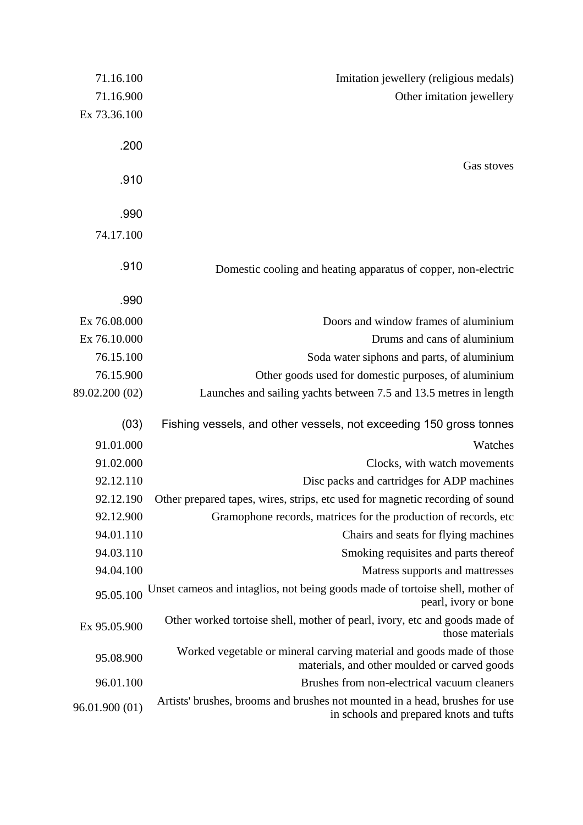| Imitation jewellery (religious medals)                                                                                 | 71.16.100      |
|------------------------------------------------------------------------------------------------------------------------|----------------|
| Other imitation jewellery                                                                                              | 71.16.900      |
|                                                                                                                        | Ex 73.36.100   |
|                                                                                                                        |                |
|                                                                                                                        | .200           |
| Gas stoves                                                                                                             | .910           |
|                                                                                                                        |                |
|                                                                                                                        | .990           |
|                                                                                                                        | 74.17.100      |
|                                                                                                                        |                |
| Domestic cooling and heating apparatus of copper, non-electric                                                         | .910           |
|                                                                                                                        |                |
|                                                                                                                        | .990           |
| Doors and window frames of aluminium                                                                                   | Ex 76.08.000   |
| Drums and cans of aluminium                                                                                            | Ex 76.10.000   |
| Soda water siphons and parts, of aluminium                                                                             | 76.15.100      |
| Other goods used for domestic purposes, of aluminium                                                                   | 76.15.900      |
| Launches and sailing yachts between 7.5 and 13.5 metres in length                                                      | 89.02.200 (02) |
| Fishing vessels, and other vessels, not exceeding 150 gross tonnes                                                     | (03)           |
| Watches                                                                                                                | 91.01.000      |
| Clocks, with watch movements                                                                                           | 91.02.000      |
| Disc packs and cartridges for ADP machines                                                                             | 92.12.110      |
| Other prepared tapes, wires, strips, etc used for magnetic recording of sound                                          | 92.12.190      |
| Gramophone records, matrices for the production of records, etc.                                                       | 92.12.900      |
| Chairs and seats for flying machines                                                                                   | 94.01.110      |
| Smoking requisites and parts thereof                                                                                   | 94.03.110      |
| Matress supports and mattresses                                                                                        | 94.04.100      |
| Unset cameos and intaglios, not being goods made of tortoise shell, mother of<br>pearl, ivory or bone                  | 95.05.100      |
| Other worked tortoise shell, mother of pearl, ivory, etc and goods made of<br>those materials                          | Ex 95.05.900   |
| Worked vegetable or mineral carving material and goods made of those<br>materials, and other moulded or carved goods   | 95.08.900      |
| Brushes from non-electrical vacuum cleaners                                                                            | 96.01.100      |
| Artists' brushes, brooms and brushes not mounted in a head, brushes for use<br>in schools and prepared knots and tufts | 96.01.900 (01) |
|                                                                                                                        |                |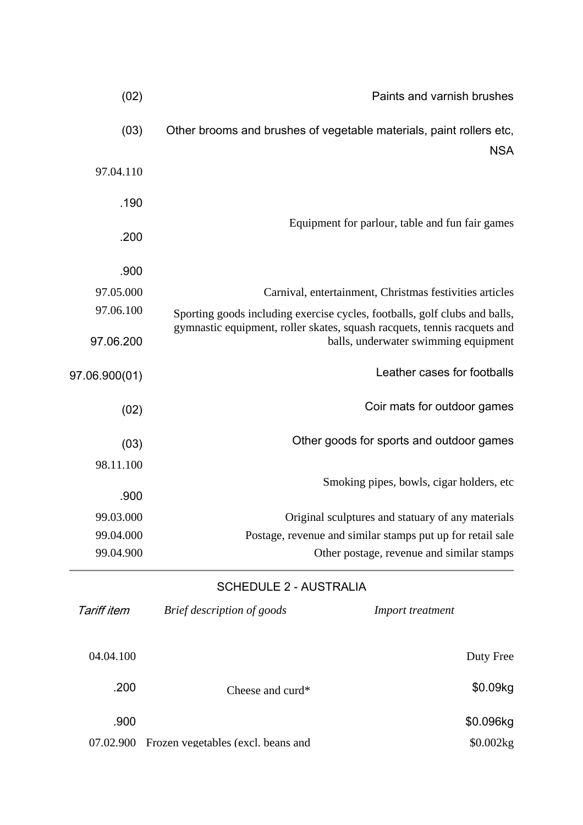| Paints and varnish brushes                                                                                                                             |  |
|--------------------------------------------------------------------------------------------------------------------------------------------------------|--|
| Other brooms and brushes of vegetable materials, paint rollers etc,<br><b>NSA</b>                                                                      |  |
|                                                                                                                                                        |  |
|                                                                                                                                                        |  |
| Equipment for parlour, table and fun fair games                                                                                                        |  |
|                                                                                                                                                        |  |
| Carnival, entertainment, Christmas festivities articles                                                                                                |  |
| Sporting goods including exercise cycles, footballs, golf clubs and balls,<br>gymnastic equipment, roller skates, squash racquets, tennis racquets and |  |
| balls, underwater swimming equipment                                                                                                                   |  |
| Leather cases for footballs                                                                                                                            |  |
| Coir mats for outdoor games                                                                                                                            |  |
| Other goods for sports and outdoor games                                                                                                               |  |
|                                                                                                                                                        |  |
| Smoking pipes, bowls, cigar holders, etc.                                                                                                              |  |
| Original sculptures and statuary of any materials                                                                                                      |  |
| Postage, revenue and similar stamps put up for retail sale                                                                                             |  |
| Other postage, revenue and similar stamps                                                                                                              |  |
|                                                                                                                                                        |  |

# SCHEDULE 2 - AUSTRALIA

| Tariff item | Brief description of goods         | <i>Import treatment</i> |
|-------------|------------------------------------|-------------------------|
| 04.04.100   |                                    | Duty Free               |
| .200        | Cheese and curd*                   | \$0.09kg                |
| .900        |                                    | \$0.096kg               |
| 07.02.900   | Frozen vegetables (excl. beans and | \$0.002kg               |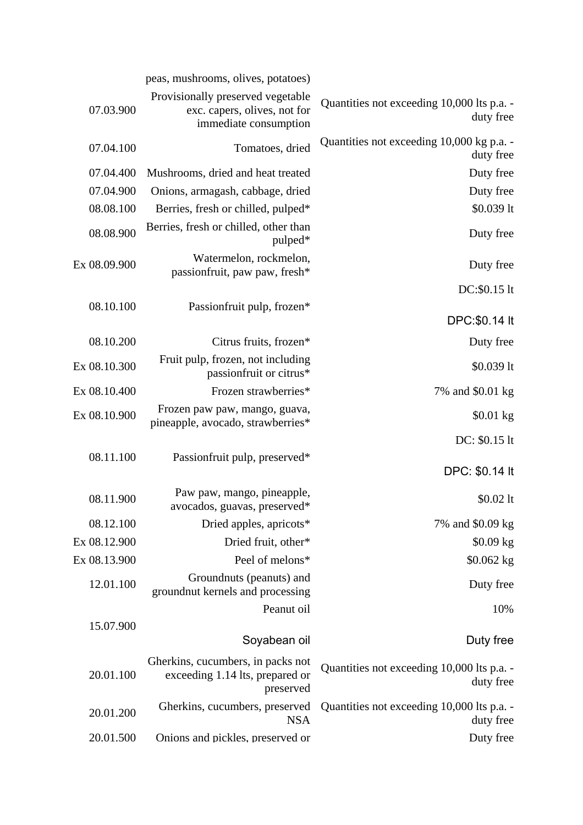|                                                         | peas, mushrooms, olives, potatoes)                                                         |              |
|---------------------------------------------------------|--------------------------------------------------------------------------------------------|--------------|
| Quantities not exceeding 10,000 lts p.a. -<br>duty free | Provisionally preserved vegetable<br>exc. capers, olives, not for<br>immediate consumption | 07.03.900    |
| Quantities not exceeding 10,000 kg p.a. -<br>duty free  | Tomatoes, dried                                                                            | 07.04.100    |
| Duty free                                               | Mushrooms, dried and heat treated                                                          | 07.04.400    |
| Duty free                                               | Onions, armagash, cabbage, dried                                                           | 07.04.900    |
| $$0.039$ lt                                             | Berries, fresh or chilled, pulped*                                                         | 08.08.100    |
| Duty free                                               | Berries, fresh or chilled, other than<br>pulped*                                           | 08.08.900    |
| Duty free                                               | Watermelon, rockmelon,<br>passionfruit, paw paw, fresh*                                    | Ex 08.09.900 |
| DC:\$0.15 lt                                            |                                                                                            |              |
| DPC:\$0.14 lt                                           | Passionfruit pulp, frozen*                                                                 | 08.10.100    |
| Duty free                                               | Citrus fruits, frozen*                                                                     | 08.10.200    |
| $$0.039$ lt                                             | Fruit pulp, frozen, not including<br>passionfruit or citrus*                               | Ex 08.10.300 |
| 7% and \$0.01 kg                                        | Frozen strawberries*                                                                       | Ex 08.10.400 |
| \$0.01 kg                                               | Frozen paw paw, mango, guava,<br>pineapple, avocado, strawberries*                         | Ex 08.10.900 |
| DC: \$0.15 lt<br>DPC: \$0.14 lt                         | Passionfruit pulp, preserved*                                                              | 08.11.100    |
| $$0.02$ lt                                              | Paw paw, mango, pineapple,<br>avocados, guavas, preserved*                                 | 08.11.900    |
| 7% and \$0.09 kg                                        | Dried apples, apricots*                                                                    | 08.12.100    |
| $$0.09$ kg                                              | Dried fruit, other*                                                                        | Ex 08.12.900 |
| $$0.062$ kg                                             | Peel of melons*                                                                            | Ex 08.13.900 |
| Duty free                                               | Groundnuts (peanuts) and<br>groundnut kernels and processing                               | 12.01.100    |
| 10%<br>Duty free                                        | Peanut oil<br>Soyabean oil                                                                 | 15.07.900    |
| Quantities not exceeding 10,000 lts p.a. -<br>duty free | Gherkins, cucumbers, in packs not<br>exceeding 1.14 lts, prepared or<br>preserved          | 20.01.100    |
| Quantities not exceeding 10,000 lts p.a. -<br>duty free | Gherkins, cucumbers, preserved<br><b>NSA</b>                                               | 20.01.200    |
| Duty free                                               | Onions and pickles, preserved or                                                           | 20.01.500    |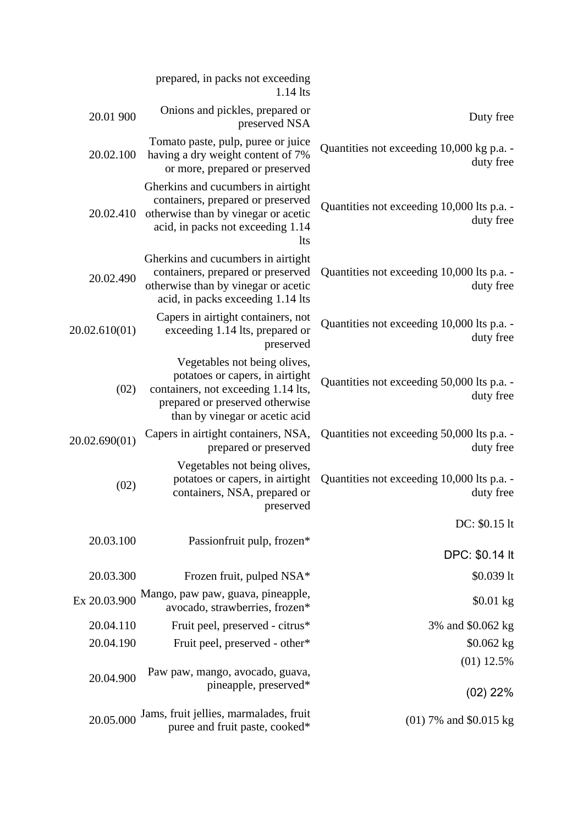|               | prepared, in packs not exceeding<br>$1.14$ lts                                                                                                                              |                                                         |
|---------------|-----------------------------------------------------------------------------------------------------------------------------------------------------------------------------|---------------------------------------------------------|
| 20.01 900     | Onions and pickles, prepared or<br>preserved NSA                                                                                                                            | Duty free                                               |
| 20.02.100     | Tomato paste, pulp, puree or juice<br>having a dry weight content of 7%<br>or more, prepared or preserved                                                                   | Quantities not exceeding 10,000 kg p.a. -<br>duty free  |
|               | Gherkins and cucumbers in airtight<br>containers, prepared or preserved<br>20.02.410 otherwise than by vinegar or acetic<br>acid, in packs not exceeding 1.14<br><b>lts</b> | Quantities not exceeding 10,000 lts p.a. -<br>duty free |
| 20.02.490     | Gherkins and cucumbers in airtight<br>containers, prepared or preserved<br>otherwise than by vinegar or acetic<br>acid, in packs exceeding 1.14 lts                         | Quantities not exceeding 10,000 lts p.a. -<br>duty free |
| 20.02.610(01) | Capers in airtight containers, not<br>exceeding 1.14 lts, prepared or<br>preserved                                                                                          | Quantities not exceeding 10,000 lts p.a. -<br>duty free |
| (02)          | Vegetables not being olives,<br>potatoes or capers, in airtight<br>containers, not exceeding 1.14 lts,<br>prepared or preserved otherwise<br>than by vinegar or acetic acid | Quantities not exceeding 50,000 lts p.a. -<br>duty free |
| 20.02.690(01) | Capers in airtight containers, NSA,<br>prepared or preserved                                                                                                                | Quantities not exceeding 50,000 lts p.a. -<br>duty free |
| (02)          | Vegetables not being olives,<br>potatoes or capers, in airtight<br>containers, NSA, prepared or<br>preserved                                                                | Quantities not exceeding 10,000 lts p.a. -<br>duty free |
| 20.03.100     | Passionfruit pulp, frozen*                                                                                                                                                  | DC: \$0.15 lt                                           |
|               |                                                                                                                                                                             | DPC: \$0.14 lt                                          |
| 20.03.300     | Frozen fruit, pulped NSA*                                                                                                                                                   | $$0.039$ lt                                             |
| Ex 20.03.900  | Mango, paw paw, guava, pineapple,<br>avocado, strawberries, frozen*                                                                                                         | $$0.01$ kg                                              |
| 20.04.110     | Fruit peel, preserved - citrus*                                                                                                                                             | 3% and \$0.062 kg                                       |
| 20.04.190     | Fruit peel, preserved - other*                                                                                                                                              | $$0.062$ kg                                             |
| 20.04.900     | Paw paw, mango, avocado, guava,<br>pineapple, preserved*                                                                                                                    | $(01)$ 12.5%<br>$(02)$ 22%                              |
| 20.05.000     | Jams, fruit jellies, marmalades, fruit<br>puree and fruit paste, cooked*                                                                                                    | $(01)$ 7% and \$0.015 kg                                |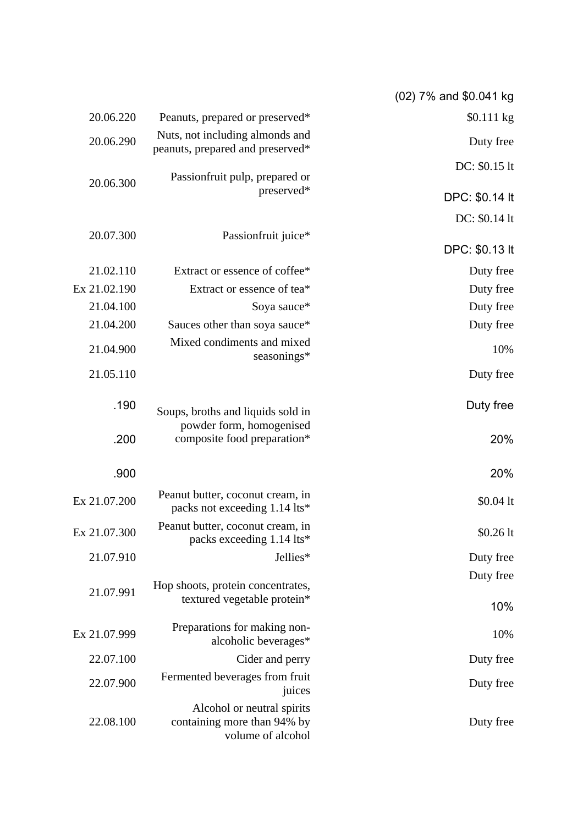| (02) 7% and \$0.041 kg |                                                                                |              |
|------------------------|--------------------------------------------------------------------------------|--------------|
| \$0.111 kg             | Peanuts, prepared or preserved*                                                | 20.06.220    |
| Duty free              | Nuts, not including almonds and<br>peanuts, prepared and preserved*            | 20.06.290    |
| DC: \$0.15 lt          | Passionfruit pulp, prepared or                                                 |              |
| DPC: \$0.14 lt         | preserved*                                                                     | 20.06.300    |
| DC: \$0.14 lt          |                                                                                |              |
| DPC: \$0.13 lt         | Passionfruit juice*                                                            | 20.07.300    |
| Duty free              | Extract or essence of coffee*                                                  | 21.02.110    |
| Duty free              | Extract or essence of tea*                                                     | Ex 21.02.190 |
| Duty free              | Soya sauce*                                                                    | 21.04.100    |
| Duty free              | Sauces other than soya sauce*                                                  | 21.04.200    |
| 10%                    | Mixed condiments and mixed<br>seasonings*                                      | 21.04.900    |
| Duty free              |                                                                                | 21.05.110    |
| Duty free              | Soups, broths and liquids sold in                                              | .190         |
| 20%                    | powder form, homogenised<br>composite food preparation*                        | .200         |
| 20%                    |                                                                                | .900         |
| $$0.04$ lt             | Peanut butter, coconut cream, in<br>packs not exceeding 1.14 lts*              | Ex 21.07.200 |
| \$0.26 lt              | Peanut butter, coconut cream, in<br>packs exceeding 1.14 lts*                  | Ex 21.07.300 |
| Duty free              | Jellies*                                                                       | 21.07.910    |
| Duty free              |                                                                                |              |
| 10%                    | Hop shoots, protein concentrates,<br>textured vegetable protein*               | 21.07.991    |
| 10%                    | Preparations for making non-<br>alcoholic beverages*                           | Ex 21.07.999 |
| Duty free              | Cider and perry                                                                | 22.07.100    |
| Duty free              | Fermented beverages from fruit<br>juices                                       | 22.07.900    |
| Duty free              | Alcohol or neutral spirits<br>containing more than 94% by<br>volume of alcohol | 22.08.100    |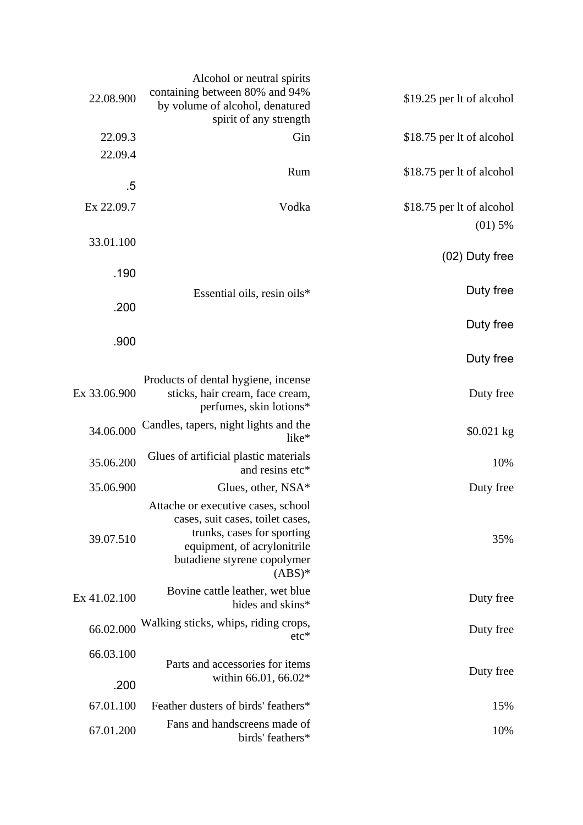| 22.08.900    | Alcohol or neutral spirits<br>containing between 80% and 94%<br>by volume of alcohol, denatured | \$19.25 per lt of alcohol |
|--------------|-------------------------------------------------------------------------------------------------|---------------------------|
|              | spirit of any strength                                                                          |                           |
| 22.09.3      | Gin                                                                                             | \$18.75 per lt of alcohol |
| 22.09.4      |                                                                                                 |                           |
|              | Rum                                                                                             | \$18.75 per lt of alcohol |
| .5           |                                                                                                 |                           |
| Ex 22.09.7   | Vodka                                                                                           | \$18.75 per lt of alcohol |
|              |                                                                                                 | $(01)$ 5%                 |
| 33.01.100    |                                                                                                 |                           |
|              |                                                                                                 | (02) Duty free            |
| .190         |                                                                                                 |                           |
|              |                                                                                                 | Duty free                 |
| .200         | Essential oils, resin oils*                                                                     |                           |
|              |                                                                                                 | Duty free                 |
| .900         |                                                                                                 |                           |
|              |                                                                                                 |                           |
|              |                                                                                                 | Duty free                 |
|              | Products of dental hygiene, incense                                                             |                           |
| Ex 33.06.900 | sticks, hair cream, face cream,<br>perfumes, skin lotions*                                      | Duty free                 |
|              |                                                                                                 |                           |
| 34.06.000    | Candles, tapers, night lights and the<br>like*                                                  | $$0.021$ kg               |
|              | Glues of artificial plastic materials                                                           |                           |
| 35.06.200    | and resins etc*                                                                                 | 10%                       |
| 35.06.900    | Glues, other, $NSA*$                                                                            | Duty free                 |
|              |                                                                                                 |                           |
|              | Attache or executive cases, school<br>cases, suit cases, toilet cases,                          |                           |
|              | trunks, cases for sporting                                                                      |                           |
| 39.07.510    | equipment, of acrylonitrile                                                                     | 35%                       |
|              | butadiene styrene copolymer                                                                     |                           |
|              | $(ABS)^*$                                                                                       |                           |
| Ex 41.02.100 | Bovine cattle leather, wet blue                                                                 | Duty free                 |
|              | hides and skins*                                                                                |                           |
| 66.02.000    | Walking sticks, whips, riding crops,<br>$etc*$                                                  | Duty free                 |
| 66.03.100    |                                                                                                 |                           |
|              | Parts and accessories for items                                                                 |                           |
| .200         | within 66.01, 66.02*                                                                            | Duty free                 |
|              |                                                                                                 |                           |
| 67.01.100    | Feather dusters of birds' feathers*                                                             | 15%                       |
| 67.01.200    | Fans and handscreens made of<br>birds' feathers*                                                | 10%                       |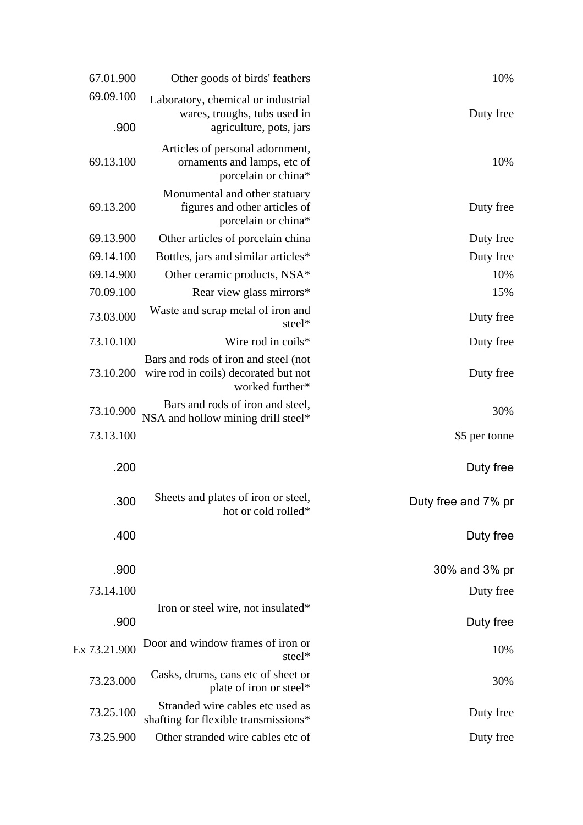| 10%                    | Other goods of birds' feathers                                                                  | 67.01.900         |
|------------------------|-------------------------------------------------------------------------------------------------|-------------------|
| Duty free              | Laboratory, chemical or industrial<br>wares, troughs, tubs used in<br>agriculture, pots, jars   | 69.09.100<br>.900 |
| 10%                    | Articles of personal adornment,<br>ornaments and lamps, etc of<br>porcelain or china*           | 69.13.100         |
| Duty free              | Monumental and other statuary<br>figures and other articles of<br>porcelain or china*           | 69.13.200         |
| Duty free              | Other articles of porcelain china                                                               | 69.13.900         |
| Duty free              | Bottles, jars and similar articles*                                                             | 69.14.100         |
| 10%                    | Other ceramic products, NSA*                                                                    | 69.14.900         |
| 15%                    | Rear view glass mirrors*                                                                        | 70.09.100         |
| Duty free              | Waste and scrap metal of iron and<br>steel*                                                     | 73.03.000         |
| Duty free              | Wire rod in coils*                                                                              | 73.10.100         |
| Duty free              | Bars and rods of iron and steel (not<br>wire rod in coils) decorated but not<br>worked further* | 73.10.200         |
| 30%                    | Bars and rods of iron and steel,<br>NSA and hollow mining drill steel*                          | 73.10.900         |
| \$5 per tonne          |                                                                                                 | 73.13.100         |
| Duty free              |                                                                                                 | .200              |
| Duty free and 7% pr    | Sheets and plates of iron or steel,<br>hot or cold rolled*                                      | .300              |
| Duty free              |                                                                                                 | .400              |
| 30% and 3% pr          |                                                                                                 | .900              |
|                        |                                                                                                 | 73.14.100         |
| Duty free<br>Duty free | Iron or steel wire, not insulated*                                                              | .900              |
| 10%                    | Door and window frames of iron or<br>steel*                                                     | Ex 73.21.900      |
| 30%                    | Casks, drums, cans etc of sheet or<br>plate of iron or steel*                                   | 73.23.000         |
| Duty free              | Stranded wire cables etc used as<br>shafting for flexible transmissions*                        | 73.25.100         |
| Duty free              | Other stranded wire cables etc of                                                               | 73.25.900         |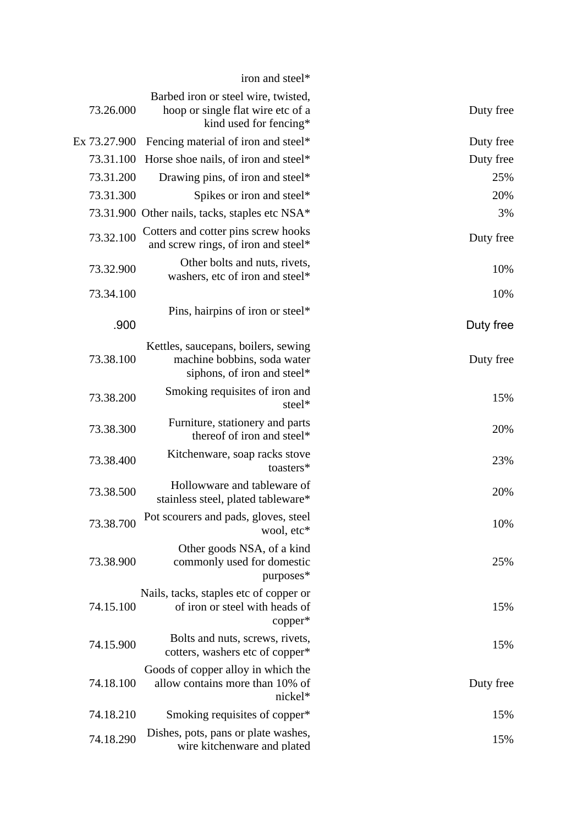| 73.26.000    | Barbed iron or steel wire, twisted,<br>hoop or single flat wire etc of a<br>kind used for fencing* | Duty free |
|--------------|----------------------------------------------------------------------------------------------------|-----------|
| Ex 73.27.900 | Fencing material of iron and steel*                                                                | Duty free |
| 73.31.100    | Horse shoe nails, of iron and steel*                                                               | Duty free |
| 73.31.200    | Drawing pins, of iron and steel*                                                                   | 25%       |
| 73.31.300    | Spikes or iron and steel*                                                                          | 20%       |
|              | 73.31.900 Other nails, tacks, staples etc NSA*                                                     | 3%        |
| 73.32.100    | Cotters and cotter pins screw hooks<br>and screw rings, of iron and steel*                         | Duty free |
| 73.32.900    | Other bolts and nuts, rivets,<br>washers, etc of iron and steel*                                   | 10%       |
| 73.34.100    |                                                                                                    | 10%       |
|              | Pins, hairpins of iron or steel*                                                                   |           |
| .900         |                                                                                                    | Duty free |
| 73.38.100    | Kettles, saucepans, boilers, sewing<br>machine bobbins, soda water<br>siphons, of iron and steel*  | Duty free |
| 73.38.200    | Smoking requisites of iron and<br>steel*                                                           | 15%       |
| 73.38.300    | Furniture, stationery and parts<br>thereof of iron and steel*                                      | 20%       |
| 73.38.400    | Kitchenware, soap racks stove<br>toasters*                                                         | 23%       |
| 73.38.500    | Hollowware and tableware of<br>stainless steel, plated tableware*                                  | 20%       |
| 73.38.700    | Pot scourers and pads, gloves, steel<br>wool, etc*                                                 | 10%       |
| 73.38.900    | Other goods NSA, of a kind<br>commonly used for domestic<br>purposes*                              | 25%       |
| 74.15.100    | Nails, tacks, staples etc of copper or<br>of iron or steel with heads of<br>copper*                | 15%       |
| 74.15.900    | Bolts and nuts, screws, rivets,<br>cotters, washers etc of copper*                                 | 15%       |
| 74.18.100    | Goods of copper alloy in which the<br>allow contains more than 10% of<br>nickel*                   | Duty free |
| 74.18.210    | Smoking requisites of copper*                                                                      | 15%       |
| 74.18.290    | Dishes, pots, pans or plate washes,<br>wire kitchenware and plated                                 | 15%       |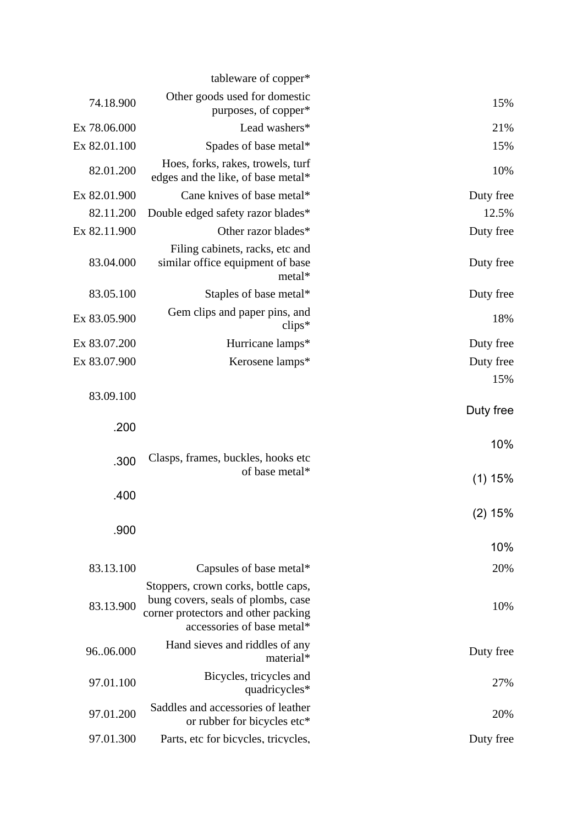|           | tableware of copper*                                                                                                                           |                   |
|-----------|------------------------------------------------------------------------------------------------------------------------------------------------|-------------------|
| 15%       | Other goods used for domestic<br>purposes, of copper*                                                                                          | 74.18.900         |
| 21%       | Lead washers*                                                                                                                                  | Ex 78.06.000      |
| 15%       | Spades of base metal*                                                                                                                          | Ex 82.01.100      |
| 10%       | Hoes, forks, rakes, trowels, turf<br>edges and the like, of base metal*                                                                        | 82.01.200         |
| Duty free | Cane knives of base metal*                                                                                                                     | Ex 82.01.900      |
| 12.5%     | Double edged safety razor blades*                                                                                                              | 82.11.200         |
| Duty free | Other razor blades*                                                                                                                            | Ex 82.11.900      |
| Duty free | Filing cabinets, racks, etc and<br>similar office equipment of base<br>metal*                                                                  | 83.04.000         |
| Duty free | Staples of base metal*                                                                                                                         | 83.05.100         |
| 18%       | Gem clips and paper pins, and<br>$\text{clips}^*$                                                                                              | Ex 83.05.900      |
| Duty free | Hurricane lamps*                                                                                                                               | Ex 83.07.200      |
| Duty free | Kerosene lamps*                                                                                                                                | Ex 83.07.900      |
| 15%       |                                                                                                                                                |                   |
| Duty free |                                                                                                                                                | 83.09.100<br>.200 |
| 10%       |                                                                                                                                                |                   |
|           | Clasps, frames, buckles, hooks etc.                                                                                                            | .300              |
| $(1)$ 15% | of base metal*                                                                                                                                 |                   |
|           |                                                                                                                                                | .400              |
| (2) 15%   |                                                                                                                                                | .900              |
| 10%       |                                                                                                                                                |                   |
| 20%       | Capsules of base metal*                                                                                                                        | 83.13.100         |
| 10%       | Stoppers, crown corks, bottle caps,<br>bung covers, seals of plombs, case<br>corner protectors and other packing<br>accessories of base metal* | 83.13.900         |
| Duty free | Hand sieves and riddles of any<br>material*                                                                                                    | 9606.000          |
| 27%       | Bicycles, tricycles and<br>quadricycles*                                                                                                       | 97.01.100         |
| 20%       | Saddles and accessories of leather<br>or rubber for bicycles etc*                                                                              | 97.01.200         |
| Duty free | Parts, etc for bicycles, tricycles,                                                                                                            | 97.01.300         |
|           |                                                                                                                                                |                   |
|           |                                                                                                                                                |                   |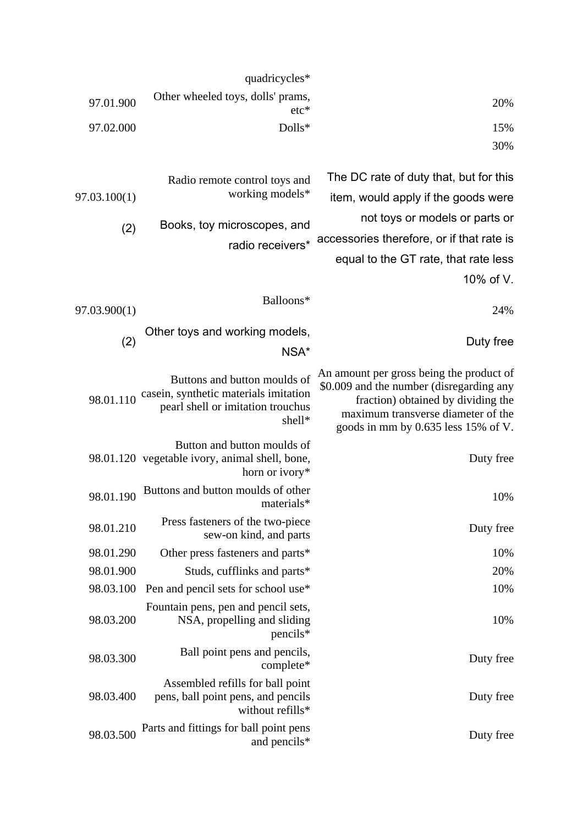|                                                                                                                                                                                                         | quadricycles*                                                                                                        |              |
|---------------------------------------------------------------------------------------------------------------------------------------------------------------------------------------------------------|----------------------------------------------------------------------------------------------------------------------|--------------|
| 20%                                                                                                                                                                                                     | Other wheeled toys, dolls' prams,<br>$etc*$                                                                          | 97.01.900    |
| 15%                                                                                                                                                                                                     | Dolls*                                                                                                               | 97.02.000    |
| 30%                                                                                                                                                                                                     |                                                                                                                      |              |
| The DC rate of duty that, but for this                                                                                                                                                                  | Radio remote control toys and                                                                                        |              |
| item, would apply if the goods were                                                                                                                                                                     | working models*                                                                                                      | 97.03.100(1) |
| not toys or models or parts or                                                                                                                                                                          | Books, toy microscopes, and                                                                                          | (2)          |
| accessories therefore, or if that rate is                                                                                                                                                               | radio receivers*                                                                                                     |              |
| equal to the GT rate, that rate less                                                                                                                                                                    |                                                                                                                      |              |
| 10% of V.                                                                                                                                                                                               |                                                                                                                      |              |
| 24%                                                                                                                                                                                                     | Balloons*                                                                                                            | 97.03.900(1) |
| Duty free                                                                                                                                                                                               | Other toys and working models,                                                                                       | (2)          |
|                                                                                                                                                                                                         | NSA*                                                                                                                 |              |
| An amount per gross being the product of<br>\$0.009 and the number (disregarding any<br>fraction) obtained by dividing the<br>maximum transverse diameter of the<br>goods in mm by 0.635 less 15% of V. | Buttons and button moulds of<br>casein, synthetic materials imitation<br>pearl shell or imitation trouchus<br>shell* | 98.01.110    |
| Duty free                                                                                                                                                                                               | Button and button moulds of<br>98.01.120 vegetable ivory, animal shell, bone,<br>horn or ivory*                      |              |
| 10%                                                                                                                                                                                                     | Buttons and button moulds of other<br>materials*                                                                     | 98.01.190    |
| Duty free                                                                                                                                                                                               | Press fasteners of the two-piece<br>sew-on kind, and parts                                                           | 98.01.210    |
| 10%                                                                                                                                                                                                     | Other press fasteners and parts*                                                                                     | 98.01.290    |
| 20%                                                                                                                                                                                                     | Studs, cufflinks and parts*                                                                                          | 98.01.900    |
| 10%                                                                                                                                                                                                     | Pen and pencil sets for school use*                                                                                  | 98.03.100    |
| 10%                                                                                                                                                                                                     | Fountain pens, pen and pencil sets,<br>NSA, propelling and sliding<br>pencils*                                       | 98.03.200    |
| Duty free                                                                                                                                                                                               | Ball point pens and pencils,<br>complete*                                                                            | 98.03.300    |
| Duty free                                                                                                                                                                                               | Assembled refills for ball point<br>pens, ball point pens, and pencils<br>without refills*                           | 98.03.400    |
| Duty free                                                                                                                                                                                               | Parts and fittings for ball point pens<br>and pencils*                                                               | 98.03.500    |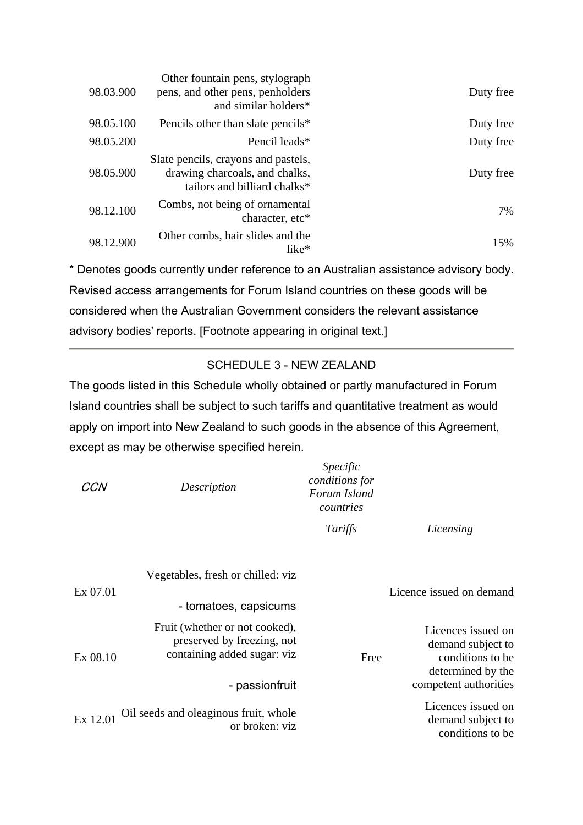| Duty free | Other fountain pens, stylograph<br>pens, and other pens, penholders<br>and similar holders*           | 98.03.900 |
|-----------|-------------------------------------------------------------------------------------------------------|-----------|
| Duty free | Pencils other than slate pencils*                                                                     | 98.05.100 |
| Duty free | Pencil leads*                                                                                         | 98.05.200 |
| Duty free | Slate pencils, crayons and pastels,<br>drawing charcoals, and chalks,<br>tailors and billiard chalks* | 98.05.900 |
| 7%        | Combs, not being of ornamental<br>character, etc*                                                     | 98.12.100 |
| 15%       | Other combs, hair slides and the<br>$like*$                                                           | 98.12.900 |

\* Denotes goods currently under reference to an Australian assistance advisory body. Revised access arrangements for Forum Island countries on these goods will be considered when the Australian Government considers the relevant assistance advisory bodies' reports. [Footnote appearing in original text.]

# SCHEDULE 3 - NEW ZEALAND

The goods listed in this Schedule wholly obtained or partly manufactured in Forum Island countries shall be subject to such tariffs and quantitative treatment as would apply on import into New Zealand to such goods in the absence of this Agreement, except as may be otherwise specified herein.

|                                                                                      | Specific<br>conditions for<br>Forum Island<br>countries | Description                                                                                 | CCN      |
|--------------------------------------------------------------------------------------|---------------------------------------------------------|---------------------------------------------------------------------------------------------|----------|
| Licensing                                                                            | Tariffs                                                 |                                                                                             |          |
| Licence issued on demand                                                             |                                                         | Vegetables, fresh or chilled: viz<br>- tomatoes, capsicums                                  | Ex 07.01 |
| Licences issued on<br>demand subject to<br>conditions to be<br>determined by the     | Free                                                    | Fruit (whether or not cooked),<br>preserved by freezing, not<br>containing added sugar: viz | Ex 08.10 |
| competent authorities<br>Licences issued on<br>demand subject to<br>conditions to be |                                                         | - passionfruit<br>Oil seeds and oleaginous fruit, whole<br>or broken: viz                   | Ex 12.01 |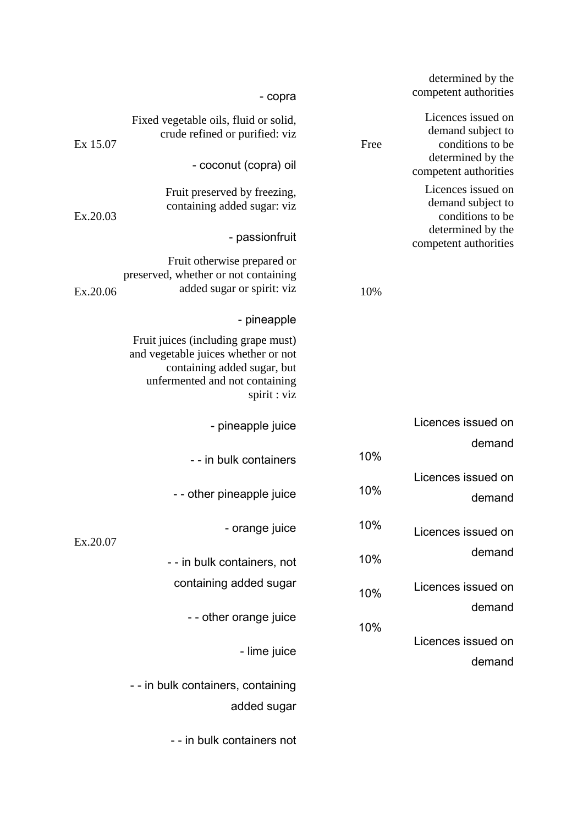|          | - copra                                                                                                                                                     |      | determined by the<br>competent authorities                  |
|----------|-------------------------------------------------------------------------------------------------------------------------------------------------------------|------|-------------------------------------------------------------|
| Ex 15.07 | Fixed vegetable oils, fluid or solid,<br>crude refined or purified: viz                                                                                     | Free | Licences issued on<br>demand subject to<br>conditions to be |
|          | - coconut (copra) oil                                                                                                                                       |      | determined by the<br>competent authorities                  |
| Ex.20.03 | Fruit preserved by freezing,<br>containing added sugar: viz                                                                                                 |      | Licences issued on<br>demand subject to<br>conditions to be |
|          | - passionfruit                                                                                                                                              |      | determined by the<br>competent authorities                  |
| Ex.20.06 | Fruit otherwise prepared or<br>preserved, whether or not containing<br>added sugar or spirit: viz                                                           | 10%  |                                                             |
|          | - pineapple                                                                                                                                                 |      |                                                             |
|          | Fruit juices (including grape must)<br>and vegetable juices whether or not<br>containing added sugar, but<br>unfermented and not containing<br>spirit : viz |      |                                                             |
|          | - pineapple juice                                                                                                                                           |      | Licences issued on                                          |
|          | - - in bulk containers                                                                                                                                      | 10%  | demand                                                      |
|          | - - other pineapple juice                                                                                                                                   | 10%  | Licences issued on<br>demand                                |
| Ex.20.07 | - orange juice                                                                                                                                              | 10%  | Licences issued on                                          |
|          | - - in bulk containers, not                                                                                                                                 | 10%  | demand                                                      |
|          | containing added sugar                                                                                                                                      | 10%  | Licences issued on                                          |
|          | - - other orange juice                                                                                                                                      | 10%  | demand                                                      |
|          | - lime juice                                                                                                                                                |      | Licences issued on<br>demand                                |
|          | - - in bulk containers, containing                                                                                                                          |      |                                                             |
|          | added sugar                                                                                                                                                 |      |                                                             |

- - in bulk containers not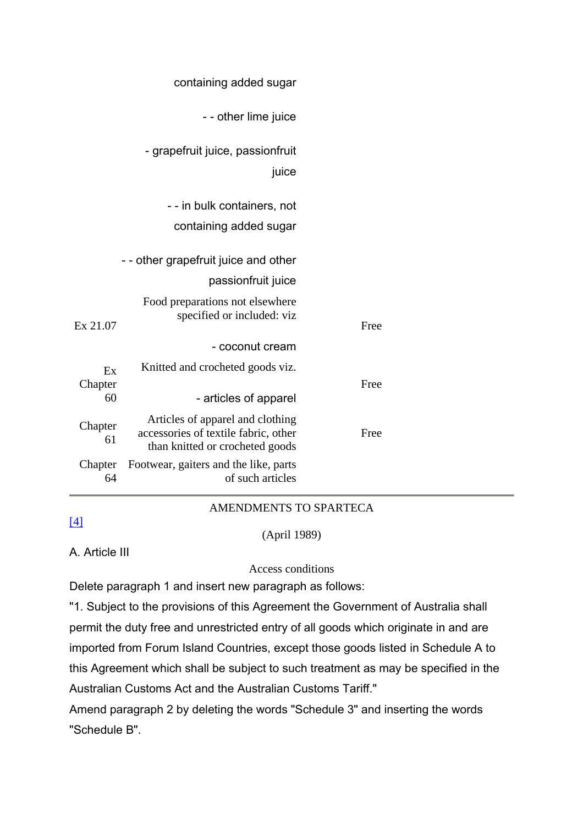|      | containing added sugar                                                                                      |               |
|------|-------------------------------------------------------------------------------------------------------------|---------------|
|      | - - other lime juice                                                                                        |               |
|      | - grapefruit juice, passionfruit<br>juice                                                                   |               |
|      | - - in bulk containers, not                                                                                 |               |
|      | containing added sugar                                                                                      |               |
|      | - - other grapefruit juice and other                                                                        |               |
|      | passionfruit juice                                                                                          |               |
| Free | Food preparations not elsewhere<br>specified or included: viz                                               | Ex 21.07      |
|      | - coconut cream                                                                                             |               |
| Free | Knitted and crocheted goods viz.                                                                            | Ex<br>Chapter |
|      | - articles of apparel                                                                                       | 60            |
| Free | Articles of apparel and clothing<br>accessories of textile fabric, other<br>than knitted or crocheted goods | Chapter<br>61 |
|      | Footwear, gaiters and the like, parts<br>of such articles                                                   | Chapter<br>64 |

# [4]

## AMENDMENTS TO SPARTECA

#### (April 1989)

A. Article III

## Access conditions

Delete paragraph 1 and insert new paragraph as follows:

"1. Subject to the provisions of this Agreement the Government of Australia shall permit the duty free and unrestricted entry of all goods which originate in and are imported from Forum Island Countries, except those goods listed in Schedule A to this Agreement which shall be subject to such treatment as may be specified in the Australian Customs Act and the Australian Customs Tariff."

Amend paragraph 2 by deleting the words "Schedule 3" and inserting the words "Schedule B".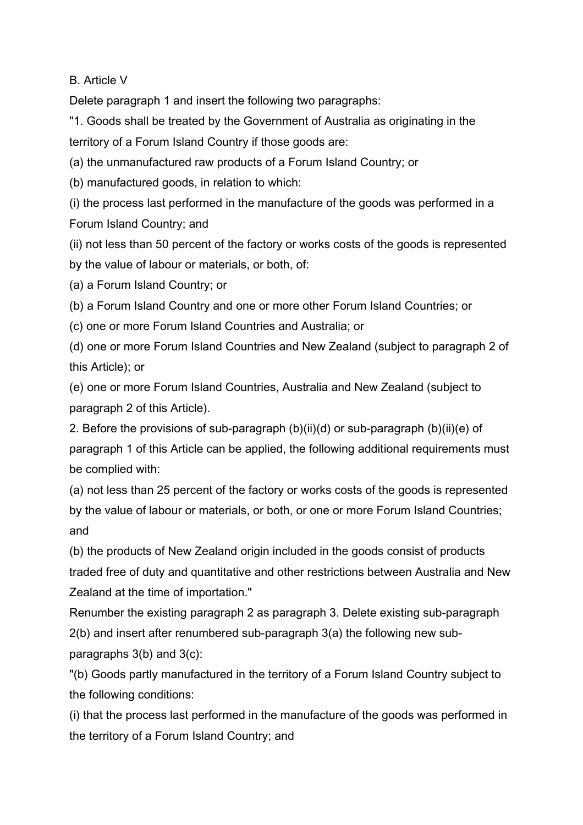B. Article V

Delete paragraph 1 and insert the following two paragraphs:

"1. Goods shall be treated by the Government of Australia as originating in the territory of a Forum Island Country if those goods are:

(a) the unmanufactured raw products of a Forum Island Country; or

(b) manufactured goods, in relation to which:

(i) the process last performed in the manufacture of the goods was performed in a Forum Island Country; and

(ii) not less than 50 percent of the factory or works costs of the goods is represented by the value of labour or materials, or both, of:

(a) a Forum Island Country; or

(b) a Forum Island Country and one or more other Forum Island Countries; or

(c) one or more Forum Island Countries and Australia; or

(d) one or more Forum Island Countries and New Zealand (subject to paragraph 2 of this Article); or

(e) one or more Forum Island Countries, Australia and New Zealand (subject to paragraph 2 of this Article).

2. Before the provisions of sub-paragraph (b)(ii)(d) or sub-paragraph (b)(ii)(e) of paragraph 1 of this Article can be applied, the following additional requirements must be complied with:

(a) not less than 25 percent of the factory or works costs of the goods is represented by the value of labour or materials, or both, or one or more Forum Island Countries; and

(b) the products of New Zealand origin included in the goods consist of products traded free of duty and quantitative and other restrictions between Australia and New Zealand at the time of importation."

Renumber the existing paragraph 2 as paragraph 3. Delete existing sub-paragraph 2(b) and insert after renumbered sub-paragraph 3(a) the following new subparagraphs 3(b) and 3(c):

"(b) Goods partly manufactured in the territory of a Forum Island Country subject to the following conditions:

(i) that the process last performed in the manufacture of the goods was performed in the territory of a Forum Island Country; and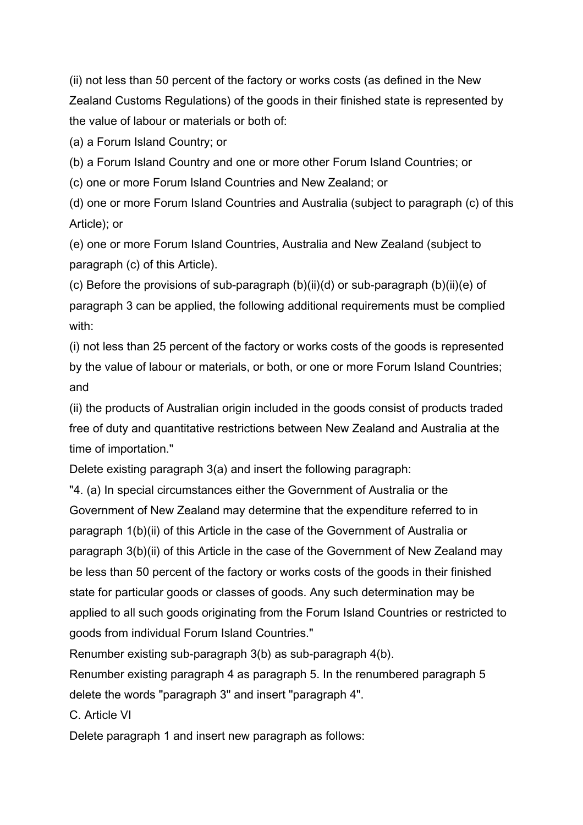(ii) not less than 50 percent of the factory or works costs (as defined in the New Zealand Customs Regulations) of the goods in their finished state is represented by the value of labour or materials or both of:

(a) a Forum Island Country; or

(b) a Forum Island Country and one or more other Forum Island Countries; or

(c) one or more Forum Island Countries and New Zealand; or

(d) one or more Forum Island Countries and Australia (subject to paragraph (c) of this Article); or

(e) one or more Forum Island Countries, Australia and New Zealand (subject to paragraph (c) of this Article).

(c) Before the provisions of sub-paragraph (b)(ii)(d) or sub-paragraph (b)(ii)(e) of paragraph 3 can be applied, the following additional requirements must be complied with:

(i) not less than 25 percent of the factory or works costs of the goods is represented by the value of labour or materials, or both, or one or more Forum Island Countries; and

(ii) the products of Australian origin included in the goods consist of products traded free of duty and quantitative restrictions between New Zealand and Australia at the time of importation."

Delete existing paragraph 3(a) and insert the following paragraph:

"4. (a) In special circumstances either the Government of Australia or the Government of New Zealand may determine that the expenditure referred to in paragraph 1(b)(ii) of this Article in the case of the Government of Australia or paragraph 3(b)(ii) of this Article in the case of the Government of New Zealand may be less than 50 percent of the factory or works costs of the goods in their finished state for particular goods or classes of goods. Any such determination may be applied to all such goods originating from the Forum Island Countries or restricted to goods from individual Forum Island Countries."

Renumber existing sub-paragraph 3(b) as sub-paragraph 4(b).

Renumber existing paragraph 4 as paragraph 5. In the renumbered paragraph 5 delete the words "paragraph 3" and insert "paragraph 4".

C. Article VI

Delete paragraph 1 and insert new paragraph as follows: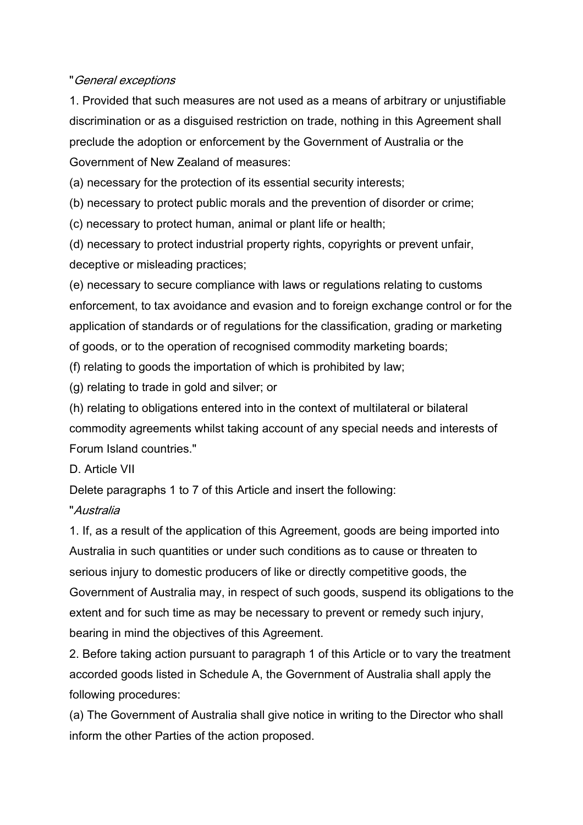#### "General exceptions

1. Provided that such measures are not used as a means of arbitrary or unjustifiable discrimination or as a disguised restriction on trade, nothing in this Agreement shall preclude the adoption or enforcement by the Government of Australia or the Government of New Zealand of measures:

(a) necessary for the protection of its essential security interests;

(b) necessary to protect public morals and the prevention of disorder or crime;

(c) necessary to protect human, animal or plant life or health;

(d) necessary to protect industrial property rights, copyrights or prevent unfair, deceptive or misleading practices;

(e) necessary to secure compliance with laws or regulations relating to customs enforcement, to tax avoidance and evasion and to foreign exchange control or for the application of standards or of regulations for the classification, grading or marketing of goods, or to the operation of recognised commodity marketing boards;

(f) relating to goods the importation of which is prohibited by law;

(g) relating to trade in gold and silver; or

(h) relating to obligations entered into in the context of multilateral or bilateral commodity agreements whilst taking account of any special needs and interests of Forum Island countries."

## D. Article VII

Delete paragraphs 1 to 7 of this Article and insert the following:

## "Australia

1. If, as a result of the application of this Agreement, goods are being imported into Australia in such quantities or under such conditions as to cause or threaten to serious injury to domestic producers of like or directly competitive goods, the Government of Australia may, in respect of such goods, suspend its obligations to the extent and for such time as may be necessary to prevent or remedy such injury, bearing in mind the objectives of this Agreement.

2. Before taking action pursuant to paragraph 1 of this Article or to vary the treatment accorded goods listed in Schedule A, the Government of Australia shall apply the following procedures:

(a) The Government of Australia shall give notice in writing to the Director who shall inform the other Parties of the action proposed.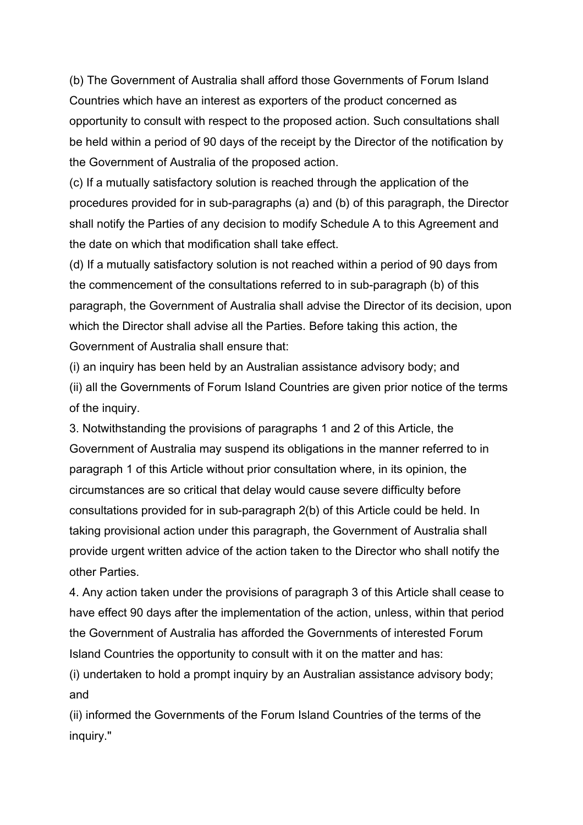(b) The Government of Australia shall afford those Governments of Forum Island Countries which have an interest as exporters of the product concerned as opportunity to consult with respect to the proposed action. Such consultations shall be held within a period of 90 days of the receipt by the Director of the notification by the Government of Australia of the proposed action.

(c) If a mutually satisfactory solution is reached through the application of the procedures provided for in sub-paragraphs (a) and (b) of this paragraph, the Director shall notify the Parties of any decision to modify Schedule A to this Agreement and the date on which that modification shall take effect.

(d) If a mutually satisfactory solution is not reached within a period of 90 days from the commencement of the consultations referred to in sub-paragraph (b) of this paragraph, the Government of Australia shall advise the Director of its decision, upon which the Director shall advise all the Parties. Before taking this action, the Government of Australia shall ensure that:

(i) an inquiry has been held by an Australian assistance advisory body; and (ii) all the Governments of Forum Island Countries are given prior notice of the terms of the inquiry.

3. Notwithstanding the provisions of paragraphs 1 and 2 of this Article, the Government of Australia may suspend its obligations in the manner referred to in paragraph 1 of this Article without prior consultation where, in its opinion, the circumstances are so critical that delay would cause severe difficulty before consultations provided for in sub-paragraph 2(b) of this Article could be held. In taking provisional action under this paragraph, the Government of Australia shall provide urgent written advice of the action taken to the Director who shall notify the other Parties.

4. Any action taken under the provisions of paragraph 3 of this Article shall cease to have effect 90 days after the implementation of the action, unless, within that period the Government of Australia has afforded the Governments of interested Forum Island Countries the opportunity to consult with it on the matter and has:

(i) undertaken to hold a prompt inquiry by an Australian assistance advisory body; and

(ii) informed the Governments of the Forum Island Countries of the terms of the inquiry."